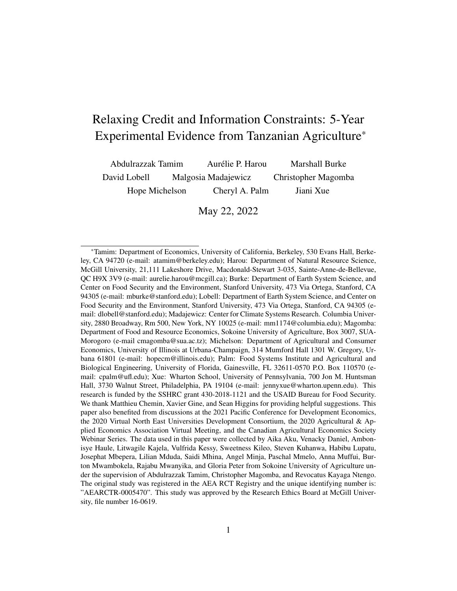# Relaxing Credit and Information Constraints: 5-Year Experimental Evidence from Tanzanian Agriculture\*

| Abdulrazzak Tamim | Aurélie P. Harou    | <b>Marshall Burke</b> |
|-------------------|---------------------|-----------------------|
| David Lobell      | Malgosia Madajewicz | Christopher Magomba   |
| Hope Michelson    | Cheryl A. Palm      | Jiani Xue             |

May 22, 2022

<sup>\*</sup>Tamim: Department of Economics, University of California, Berkeley, 530 Evans Hall, Berkeley, CA 94720 (e-mail: atamim@berkeley.edu); Harou: Department of Natural Resource Science, McGill University, 21,111 Lakeshore Drive, Macdonald-Stewart 3-035, Sainte-Anne-de-Bellevue, QC H9X 3V9 (e-mail: aurelie.harou@mcgill.ca); Burke: Department of Earth System Science, and Center on Food Security and the Environment, Stanford University, 473 Via Ortega, Stanford, CA 94305 (e-mail: mburke@stanford.edu); Lobell: Department of Earth System Science, and Center on Food Security and the Environment, Stanford University, 473 Via Ortega, Stanford, CA 94305 (email: dlobell@stanford.edu); Madajewicz: Center for Climate Systems Research. Columbia University, 2880 Broadway, Rm 500, New York, NY 10025 (e-mail: mm1174@columbia.edu); Magomba: Department of Food and Resource Economics, Sokoine University of Agriculture, Box 3007, SUA-Morogoro (e-mail cmagomba@sua.ac.tz); Michelson: Department of Agricultural and Consumer Economics, University of Illinois at Urbana-Champaign, 314 Mumford Hall 1301 W. Gregory, Urbana 61801 (e-mail: hopecm@illinois.edu); Palm: Food Systems Institute and Agricultural and Biological Engineering, University of Florida, Gainesville, FL 32611-0570 P.O. Box 110570 (email: cpalm@ufl.edu); Xue: Wharton School, University of Pennsylvania, 700 Jon M. Huntsman Hall, 3730 Walnut Street, Philadelphia, PA 19104 (e-mail: jennyxue@wharton.upenn.edu). This research is funded by the SSHRC grant 430-2018-1121 and the USAID Bureau for Food Security. We thank Matthieu Chemin, Xavier Gine, and Sean Higgins for providing helpful suggestions. This paper also benefited from discussions at the 2021 Pacific Conference for Development Economics, the 2020 Virtual North East Universities Development Consortium, the 2020 Agricultural & Applied Economics Association Virtual Meeting, and the Canadian Agricultural Economics Society Webinar Series. The data used in this paper were collected by Aika Aku, Venacky Daniel, Ambonisye Haule, Litwagile Kajela, Vulfrida Kessy, Sweetness Kileo, Steven Kuhanwa, Habibu Lupatu, Josephat Mbepera, Lilian Mduda, Saidi Mhina, Angel Minja, Paschal Mmelo, Anna Muffui, Burton Mwambokela, Rajabu Mwanyika, and Gloria Peter from Sokoine University of Agriculture under the supervision of Abdulrazzak Tamim, Christopher Magomba, and Revocatus Kayaga Ntengo. The original study was registered in the AEA RCT Registry and the unique identifying number is: "AEARCTR-0005470". This study was approved by the Research Ethics Board at McGill University, file number 16-0619.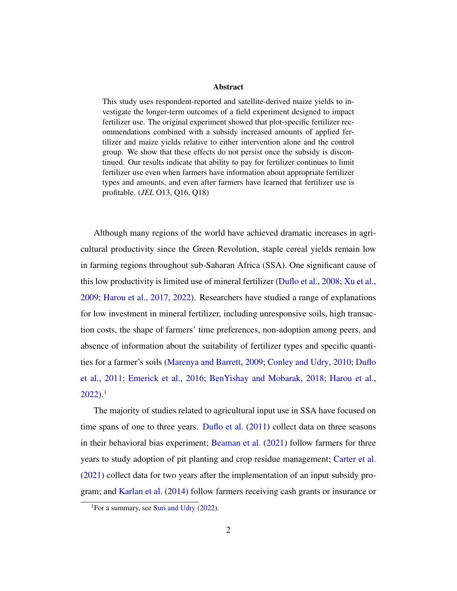#### Abstract

This study uses respondent-reported and satellite-derived maize yields to investigate the longer-term outcomes of a field experiment designed to impact fertilizer use. The original experiment showed that plot-specific fertilizer recommendations combined with a subsidy increased amounts of applied fertilizer and maize yields relative to either intervention alone and the control group. We show that these effects do not persist once the subsidy is discontinued. Our results indicate that ability to pay for fertilizer continues to limit fertilizer use even when farmers have information about appropriate fertilizer types and amounts, and even after farmers have learned that fertilizer use is profitable. (*JEL* O13, Q16, Q18)

Although many regions of the world have achieved dramatic increases in agricultural productivity since the Green Revolution, staple cereal yields remain low in farming regions throughout sub-Saharan Africa (SSA). One significant cause of this low productivity is limited use of mineral fertilizer [\(Duflo et al.,](#page-21-0) [2008;](#page-21-0) [Xu et al.,](#page-23-0) [2009;](#page-23-0) [Harou et al.,](#page-22-0) [2017,](#page-22-0) [2022\)](#page-22-1). Researchers have studied a range of explanations for low investment in mineral fertilizer, including unresponsive soils, high transaction costs, the shape of farmers' time preferences, non-adoption among peers, and absence of information about the suitability of fertilizer types and specific quantities for a farmer's soils [\(Marenya and Barrett,](#page-22-2) [2009;](#page-22-2) [Conley and Udry,](#page-21-1) [2010;](#page-21-1) [Duflo](#page-21-2) [et al.,](#page-21-2) [2011;](#page-21-2) [Emerick et al.,](#page-21-3) [2016;](#page-21-3) [BenYishay and Mobarak,](#page-20-0) [2018;](#page-20-0) [Harou et al.,](#page-22-1)  $2022$ ).<sup>[1](#page-1-0)</sup>

The majority of studies related to agricultural input use in SSA have focused on time spans of one to three years. [Duflo et al.](#page-21-2) [\(2011\)](#page-21-2) collect data on three seasons in their behavioral bias experiment; [Beaman et al.](#page-20-1) [\(2021\)](#page-20-1) follow farmers for three years to study adoption of pit planting and crop residue management; [Carter et al.](#page-20-2) [\(2021\)](#page-20-2) collect data for two years after the implementation of an input subsidy program; and [Karlan et al.](#page-22-3) [\(2014\)](#page-22-3) follow farmers receiving cash grants or insurance or

<span id="page-1-0"></span><sup>&</sup>lt;sup>1</sup>For a summary, see [Suri and Udry](#page-22-4)  $(2022)$ .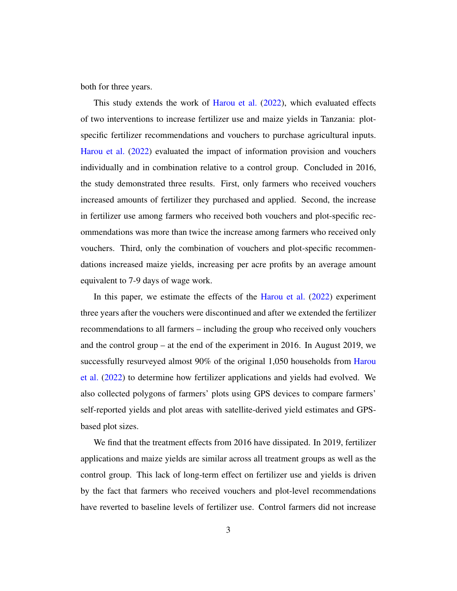both for three years.

This study extends the work of [Harou et al.](#page-22-1) [\(2022\)](#page-22-1), which evaluated effects of two interventions to increase fertilizer use and maize yields in Tanzania: plotspecific fertilizer recommendations and vouchers to purchase agricultural inputs. [Harou et al.](#page-22-1) [\(2022\)](#page-22-1) evaluated the impact of information provision and vouchers individually and in combination relative to a control group. Concluded in 2016, the study demonstrated three results. First, only farmers who received vouchers increased amounts of fertilizer they purchased and applied. Second, the increase in fertilizer use among farmers who received both vouchers and plot-specific recommendations was more than twice the increase among farmers who received only vouchers. Third, only the combination of vouchers and plot-specific recommendations increased maize yields, increasing per acre profits by an average amount equivalent to 7-9 days of wage work.

In this paper, we estimate the effects of the [Harou et al.](#page-22-1) [\(2022\)](#page-22-1) experiment three years after the vouchers were discontinued and after we extended the fertilizer recommendations to all farmers – including the group who received only vouchers and the control group – at the end of the experiment in 2016. In August 2019, we successfully resurveyed almost 90% of the original 1,050 households from [Harou](#page-22-1) [et al.](#page-22-1) [\(2022\)](#page-22-1) to determine how fertilizer applications and yields had evolved. We also collected polygons of farmers' plots using GPS devices to compare farmers' self-reported yields and plot areas with satellite-derived yield estimates and GPSbased plot sizes.

We find that the treatment effects from 2016 have dissipated. In 2019, fertilizer applications and maize yields are similar across all treatment groups as well as the control group. This lack of long-term effect on fertilizer use and yields is driven by the fact that farmers who received vouchers and plot-level recommendations have reverted to baseline levels of fertilizer use. Control farmers did not increase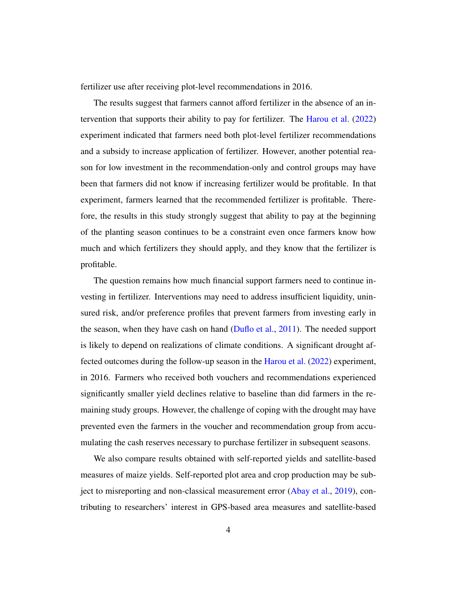fertilizer use after receiving plot-level recommendations in 2016.

The results suggest that farmers cannot afford fertilizer in the absence of an intervention that supports their ability to pay for fertilizer. The [Harou et al.](#page-22-1) [\(2022\)](#page-22-1) experiment indicated that farmers need both plot-level fertilizer recommendations and a subsidy to increase application of fertilizer. However, another potential reason for low investment in the recommendation-only and control groups may have been that farmers did not know if increasing fertilizer would be profitable. In that experiment, farmers learned that the recommended fertilizer is profitable. Therefore, the results in this study strongly suggest that ability to pay at the beginning of the planting season continues to be a constraint even once farmers know how much and which fertilizers they should apply, and they know that the fertilizer is profitable.

The question remains how much financial support farmers need to continue investing in fertilizer. Interventions may need to address insufficient liquidity, uninsured risk, and/or preference profiles that prevent farmers from investing early in the season, when they have cash on hand [\(Duflo et al.,](#page-21-2) [2011\)](#page-21-2). The needed support is likely to depend on realizations of climate conditions. A significant drought affected outcomes during the follow-up season in the [Harou et al.](#page-22-1) [\(2022\)](#page-22-1) experiment, in 2016. Farmers who received both vouchers and recommendations experienced significantly smaller yield declines relative to baseline than did farmers in the remaining study groups. However, the challenge of coping with the drought may have prevented even the farmers in the voucher and recommendation group from accumulating the cash reserves necessary to purchase fertilizer in subsequent seasons.

We also compare results obtained with self-reported yields and satellite-based measures of maize yields. Self-reported plot area and crop production may be subject to misreporting and non-classical measurement error [\(Abay et al.,](#page-20-3) [2019\)](#page-20-3), contributing to researchers' interest in GPS-based area measures and satellite-based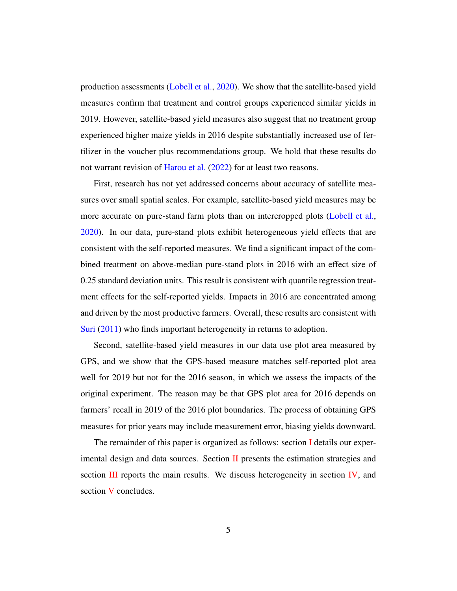production assessments [\(Lobell et al.,](#page-22-5) [2020\)](#page-22-5). We show that the satellite-based yield measures confirm that treatment and control groups experienced similar yields in 2019. However, satellite-based yield measures also suggest that no treatment group experienced higher maize yields in 2016 despite substantially increased use of fertilizer in the voucher plus recommendations group. We hold that these results do not warrant revision of [Harou et al.](#page-22-1) [\(2022\)](#page-22-1) for at least two reasons.

First, research has not yet addressed concerns about accuracy of satellite measures over small spatial scales. For example, satellite-based yield measures may be more accurate on pure-stand farm plots than on intercropped plots [\(Lobell et al.,](#page-22-5) [2020\)](#page-22-5). In our data, pure-stand plots exhibit heterogeneous yield effects that are consistent with the self-reported measures. We find a significant impact of the combined treatment on above-median pure-stand plots in 2016 with an effect size of 0.25 standard deviation units. This result is consistent with quantile regression treatment effects for the self-reported yields. Impacts in 2016 are concentrated among and driven by the most productive farmers. Overall, these results are consistent with [Suri](#page-22-6) [\(2011\)](#page-22-6) who finds important heterogeneity in returns to adoption.

Second, satellite-based yield measures in our data use plot area measured by GPS, and we show that the GPS-based measure matches self-reported plot area well for 2019 but not for the 2016 season, in which we assess the impacts of the original experiment. The reason may be that GPS plot area for 2016 depends on farmers' recall in 2019 of the 2016 plot boundaries. The process of obtaining GPS measures for prior years may include measurement error, biasing yields downward.

The remainder of this paper is organized as follows: section [I](#page-5-0) details our experimental design and data sources. Section  $\Pi$  presents the estimation strategies and section  $III$  reports the main results. We discuss heterogeneity in section  $IV$ , and section [V](#page-19-0) concludes.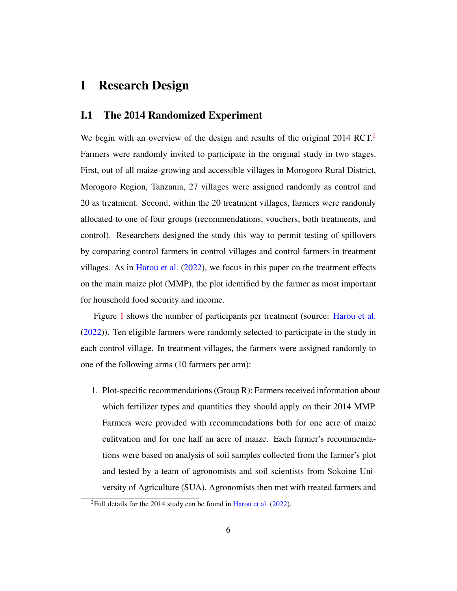### <span id="page-5-0"></span>I Research Design

### I.1 The 2014 Randomized Experiment

We begin with an overview of the design and results of the original  $2014 \text{ RCT}^2$  $2014 \text{ RCT}^2$ . Farmers were randomly invited to participate in the original study in two stages. First, out of all maize-growing and accessible villages in Morogoro Rural District, Morogoro Region, Tanzania, 27 villages were assigned randomly as control and 20 as treatment. Second, within the 20 treatment villages, farmers were randomly allocated to one of four groups (recommendations, vouchers, both treatments, and control). Researchers designed the study this way to permit testing of spillovers by comparing control farmers in control villages and control farmers in treatment villages. As in [Harou et al.](#page-22-1) [\(2022\)](#page-22-1), we focus in this paper on the treatment effects on the main maize plot (MMP), the plot identified by the farmer as most important for household food security and income.

Figure [1](#page-24-0) shows the number of participants per treatment (source: [Harou et al.](#page-22-1) [\(2022\)](#page-22-1)). Ten eligible farmers were randomly selected to participate in the study in each control village. In treatment villages, the farmers were assigned randomly to one of the following arms (10 farmers per arm):

1. Plot-specific recommendations (Group R): Farmers received information about which fertilizer types and quantities they should apply on their 2014 MMP. Farmers were provided with recommendations both for one acre of maize culitvation and for one half an acre of maize. Each farmer's recommendations were based on analysis of soil samples collected from the farmer's plot and tested by a team of agronomists and soil scientists from Sokoine University of Agriculture (SUA). Agronomists then met with treated farmers and

<span id="page-5-1"></span><sup>&</sup>lt;sup>2</sup>Full details for the 2014 study can be found in [Harou et al.](#page-22-1) [\(2022\)](#page-22-1).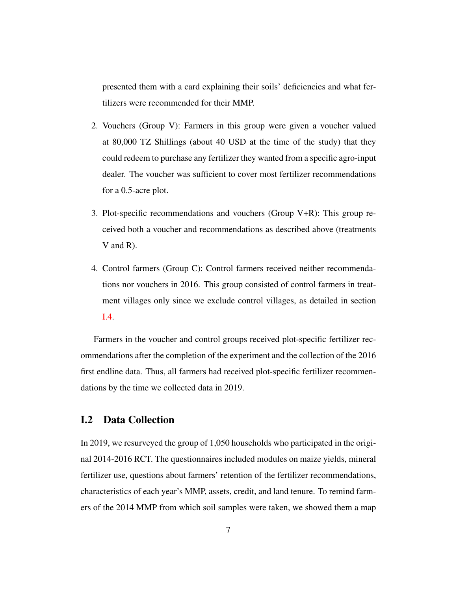presented them with a card explaining their soils' deficiencies and what fertilizers were recommended for their MMP.

- 2. Vouchers (Group V): Farmers in this group were given a voucher valued at 80,000 TZ Shillings (about 40 USD at the time of the study) that they could redeem to purchase any fertilizer they wanted from a specific agro-input dealer. The voucher was sufficient to cover most fertilizer recommendations for a 0.5-acre plot.
- 3. Plot-specific recommendations and vouchers (Group V+R): This group received both a voucher and recommendations as described above (treatments V and R).
- 4. Control farmers (Group C): Control farmers received neither recommendations nor vouchers in 2016. This group consisted of control farmers in treatment villages only since we exclude control villages, as detailed in section [I.4.](#page-8-0)

Farmers in the voucher and control groups received plot-specific fertilizer recommendations after the completion of the experiment and the collection of the 2016 first endline data. Thus, all farmers had received plot-specific fertilizer recommendations by the time we collected data in 2019.

### I.2 Data Collection

In 2019, we resurveyed the group of 1,050 households who participated in the original 2014-2016 RCT. The questionnaires included modules on maize yields, mineral fertilizer use, questions about farmers' retention of the fertilizer recommendations, characteristics of each year's MMP, assets, credit, and land tenure. To remind farmers of the 2014 MMP from which soil samples were taken, we showed them a map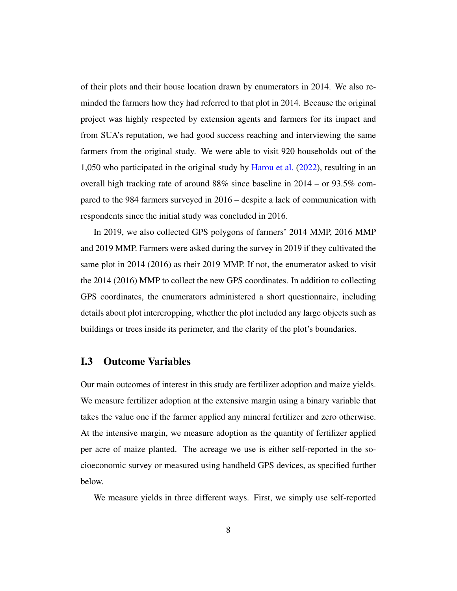of their plots and their house location drawn by enumerators in 2014. We also reminded the farmers how they had referred to that plot in 2014. Because the original project was highly respected by extension agents and farmers for its impact and from SUA's reputation, we had good success reaching and interviewing the same farmers from the original study. We were able to visit 920 households out of the 1,050 who participated in the original study by [Harou et al.](#page-22-1) [\(2022\)](#page-22-1), resulting in an overall high tracking rate of around 88% since baseline in 2014 – or 93.5% compared to the 984 farmers surveyed in 2016 – despite a lack of communication with respondents since the initial study was concluded in 2016.

In 2019, we also collected GPS polygons of farmers' 2014 MMP, 2016 MMP and 2019 MMP. Farmers were asked during the survey in 2019 if they cultivated the same plot in 2014 (2016) as their 2019 MMP. If not, the enumerator asked to visit the 2014 (2016) MMP to collect the new GPS coordinates. In addition to collecting GPS coordinates, the enumerators administered a short questionnaire, including details about plot intercropping, whether the plot included any large objects such as buildings or trees inside its perimeter, and the clarity of the plot's boundaries.

### I.3 Outcome Variables

Our main outcomes of interest in this study are fertilizer adoption and maize yields. We measure fertilizer adoption at the extensive margin using a binary variable that takes the value one if the farmer applied any mineral fertilizer and zero otherwise. At the intensive margin, we measure adoption as the quantity of fertilizer applied per acre of maize planted. The acreage we use is either self-reported in the socioeconomic survey or measured using handheld GPS devices, as specified further below.

We measure yields in three different ways. First, we simply use self-reported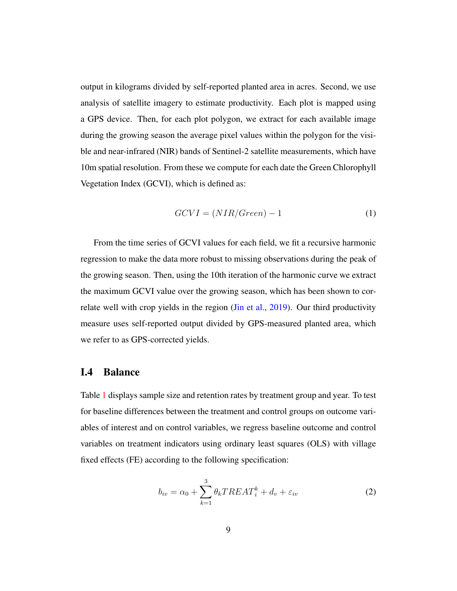output in kilograms divided by self-reported planted area in acres. Second, we use analysis of satellite imagery to estimate productivity. Each plot is mapped using a GPS device. Then, for each plot polygon, we extract for each available image during the growing season the average pixel values within the polygon for the visible and near-infrared (NIR) bands of Sentinel-2 satellite measurements, which have 10m spatial resolution. From these we compute for each date the Green Chlorophyll Vegetation Index (GCVI), which is defined as:

$$
GCVI = (NIR/Green) - 1 \tag{1}
$$

From the time series of GCVI values for each field, we fit a recursive harmonic regression to make the data more robust to missing observations during the peak of the growing season. Then, using the 10th iteration of the harmonic curve we extract the maximum GCVI value over the growing season, which has been shown to cor-relate well with crop yields in the region [\(Jin et al.,](#page-22-7) [2019\)](#page-22-7). Our third productivity measure uses self-reported output divided by GPS-measured planted area, which we refer to as GPS-corrected yields.

### <span id="page-8-0"></span>I.4 Balance

Table [1](#page-29-0) displays sample size and retention rates by treatment group and year. To test for baseline differences between the treatment and control groups on outcome variables of interest and on control variables, we regress baseline outcome and control variables on treatment indicators using ordinary least squares (OLS) with village fixed effects (FE) according to the following specification:

$$
b_{iv} = \alpha_0 + \sum_{k=1}^{3} \theta_k T R E A T_i^k + d_v + \varepsilon_{iv}
$$
 (2)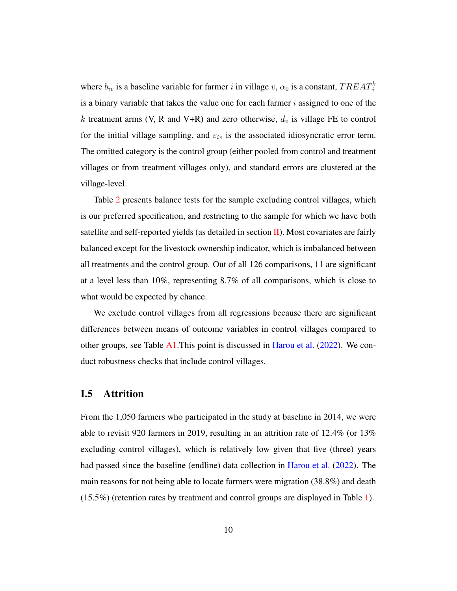where  $b_{iv}$  is a baseline variable for farmer i in village v,  $\alpha_0$  is a constant,  $TREAT_i^k$ is a binary variable that takes the value one for each farmer  $i$  assigned to one of the k treatment arms (V, R and V+R) and zero otherwise,  $d<sub>v</sub>$  is village FE to control for the initial village sampling, and  $\varepsilon_{iv}$  is the associated idiosyncratic error term. The omitted category is the control group (either pooled from control and treatment villages or from treatment villages only), and standard errors are clustered at the village-level.

Table [2](#page-30-0) presents balance tests for the sample excluding control villages, which is our preferred specification, and restricting to the sample for which we have both satellite and self-reported yields (as detailed in section [II\)](#page-10-0). Most covariates are fairly balanced except for the livestock ownership indicator, which is imbalanced between all treatments and the control group. Out of all 126 comparisons, 11 are significant at a level less than 10%, representing 8.7% of all comparisons, which is close to what would be expected by chance.

We exclude control villages from all regressions because there are significant differences between means of outcome variables in control villages compared to other groups, see Table  $A1$ . This point is discussed in [Harou et al.](#page-22-1) [\(2022\)](#page-22-1). We conduct robustness checks that include control villages.

### I.5 Attrition

From the 1,050 farmers who participated in the study at baseline in 2014, we were able to revisit 920 farmers in 2019, resulting in an attrition rate of 12.4% (or 13% excluding control villages), which is relatively low given that five (three) years had passed since the baseline (endline) data collection in [Harou et al.](#page-22-1) [\(2022\)](#page-22-1). The main reasons for not being able to locate farmers were migration (38.8%) and death (15.5%) (retention rates by treatment and control groups are displayed in Table [1\)](#page-29-0).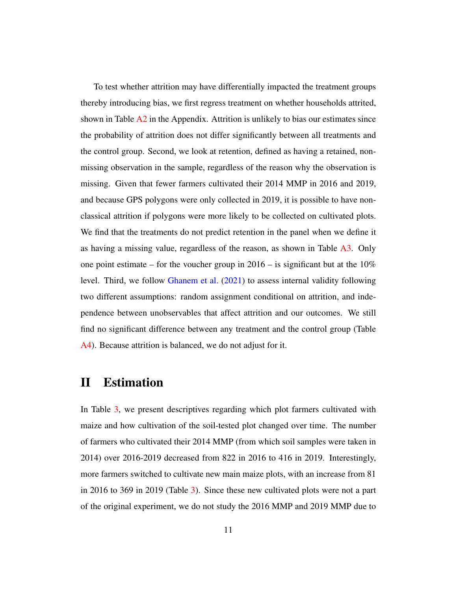To test whether attrition may have differentially impacted the treatment groups thereby introducing bias, we first regress treatment on whether households attrited, shown in Table  $A2$  in the Appendix. Attrition is unlikely to bias our estimates since the probability of attrition does not differ significantly between all treatments and the control group. Second, we look at retention, defined as having a retained, nonmissing observation in the sample, regardless of the reason why the observation is missing. Given that fewer farmers cultivated their 2014 MMP in 2016 and 2019, and because GPS polygons were only collected in 2019, it is possible to have nonclassical attrition if polygons were more likely to be collected on cultivated plots. We find that the treatments do not predict retention in the panel when we define it as having a missing value, regardless of the reason, as shown in Table [A3.](#page-38-1) Only one point estimate – for the voucher group in  $2016 -$  is significant but at the  $10\%$ level. Third, we follow [Ghanem et al.](#page-21-4) [\(2021\)](#page-21-4) to assess internal validity following two different assumptions: random assignment conditional on attrition, and independence between unobservables that affect attrition and our outcomes. We still find no significant difference between any treatment and the control group (Table [A4\)](#page-39-0). Because attrition is balanced, we do not adjust for it.

## <span id="page-10-0"></span>II Estimation

In Table [3,](#page-30-1) we present descriptives regarding which plot farmers cultivated with maize and how cultivation of the soil-tested plot changed over time. The number of farmers who cultivated their 2014 MMP (from which soil samples were taken in 2014) over 2016-2019 decreased from 822 in 2016 to 416 in 2019. Interestingly, more farmers switched to cultivate new main maize plots, with an increase from 81 in 2016 to 369 in 2019 (Table [3\)](#page-30-1). Since these new cultivated plots were not a part of the original experiment, we do not study the 2016 MMP and 2019 MMP due to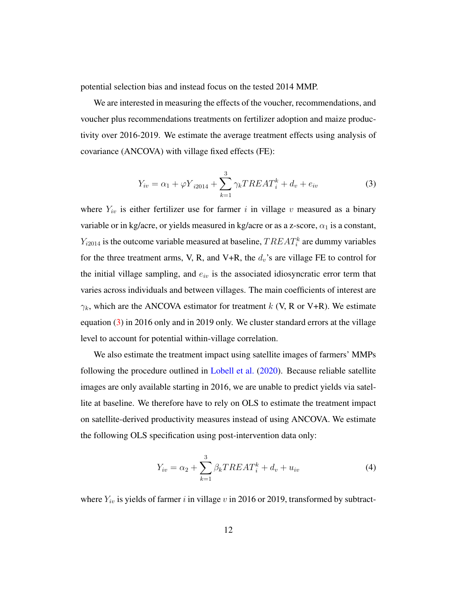potential selection bias and instead focus on the tested 2014 MMP.

We are interested in measuring the effects of the voucher, recommendations, and voucher plus recommendations treatments on fertilizer adoption and maize productivity over 2016-2019. We estimate the average treatment effects using analysis of covariance (ANCOVA) with village fixed effects (FE):

<span id="page-11-0"></span>
$$
Y_{iv} = \alpha_1 + \varphi Y_{i2014} + \sum_{k=1}^{3} \gamma_k TREAT_i^k + d_v + e_{iv}
$$
 (3)

where  $Y_{iv}$  is either fertilizer use for farmer i in village v measured as a binary variable or in kg/acre, or yields measured in kg/acre or as a z-score,  $\alpha_1$  is a constant,  $Y_{i2014}$  is the outcome variable measured at baseline,  $TREAT_i^k$  are dummy variables for the three treatment arms, V, R, and V+R, the  $d_v$ 's are village FE to control for the initial village sampling, and  $e_{iv}$  is the associated idiosyncratic error term that varies across individuals and between villages. The main coefficients of interest are  $\gamma_k$ , which are the ANCOVA estimator for treatment k (V, R or V+R). We estimate equation [\(3\)](#page-11-0) in 2016 only and in 2019 only. We cluster standard errors at the village level to account for potential within-village correlation.

We also estimate the treatment impact using satellite images of farmers' MMPs following the procedure outlined in [Lobell et al.](#page-22-5) [\(2020\)](#page-22-5). Because reliable satellite images are only available starting in 2016, we are unable to predict yields via satellite at baseline. We therefore have to rely on OLS to estimate the treatment impact on satellite-derived productivity measures instead of using ANCOVA. We estimate the following OLS specification using post-intervention data only:

$$
Y_{iv} = \alpha_2 + \sum_{k=1}^{3} \beta_k T R E A T_i^k + d_v + u_{iv}
$$
 (4)

where  $Y_{iv}$  is yields of farmer i in village v in 2016 or 2019, transformed by subtract-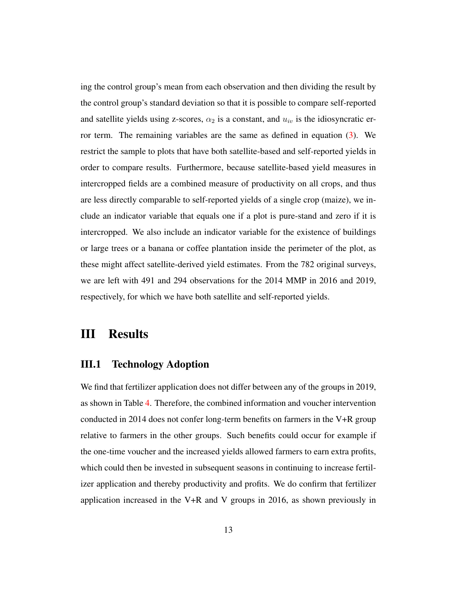ing the control group's mean from each observation and then dividing the result by the control group's standard deviation so that it is possible to compare self-reported and satellite yields using z-scores,  $\alpha_2$  is a constant, and  $u_{iv}$  is the idiosyncratic error term. The remaining variables are the same as defined in equation  $(3)$ . We restrict the sample to plots that have both satellite-based and self-reported yields in order to compare results. Furthermore, because satellite-based yield measures in intercropped fields are a combined measure of productivity on all crops, and thus are less directly comparable to self-reported yields of a single crop (maize), we include an indicator variable that equals one if a plot is pure-stand and zero if it is intercropped. We also include an indicator variable for the existence of buildings or large trees or a banana or coffee plantation inside the perimeter of the plot, as these might affect satellite-derived yield estimates. From the 782 original surveys, we are left with 491 and 294 observations for the 2014 MMP in 2016 and 2019, respectively, for which we have both satellite and self-reported yields.

### <span id="page-12-0"></span>III Results

#### III.1 Technology Adoption

We find that fertilizer application does not differ between any of the groups in 2019, as shown in Table [4.](#page-31-0) Therefore, the combined information and voucher intervention conducted in 2014 does not confer long-term benefits on farmers in the V+R group relative to farmers in the other groups. Such benefits could occur for example if the one-time voucher and the increased yields allowed farmers to earn extra profits, which could then be invested in subsequent seasons in continuing to increase fertilizer application and thereby productivity and profits. We do confirm that fertilizer application increased in the V+R and V groups in 2016, as shown previously in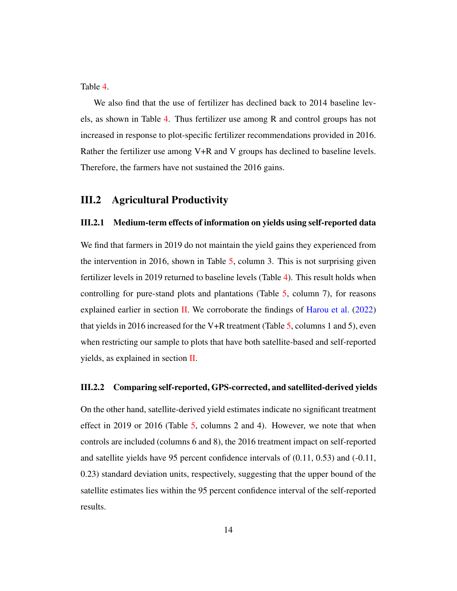Table [4.](#page-31-0)

We also find that the use of fertilizer has declined back to 2014 baseline levels, as shown in Table [4.](#page-31-0) Thus fertilizer use among R and control groups has not increased in response to plot-specific fertilizer recommendations provided in 2016. Rather the fertilizer use among V+R and V groups has declined to baseline levels. Therefore, the farmers have not sustained the 2016 gains.

#### <span id="page-13-0"></span>III.2 Agricultural Productivity

#### III.2.1 Medium-term effects of information on yields using self-reported data

We find that farmers in 2019 do not maintain the yield gains they experienced from the intervention in 2016, shown in Table [5,](#page-32-0) column 3. This is not surprising given fertilizer levels in 2019 returned to baseline levels (Table [4\)](#page-31-0). This result holds when controlling for pure-stand plots and plantations (Table [5,](#page-32-0) column 7), for reasons explained earlier in section [II.](#page-10-0) We corroborate the findings of [Harou et al.](#page-22-1)  $(2022)$ that yields in 2016 increased for the V+R treatment (Table [5,](#page-32-0) columns 1 and 5), even when restricting our sample to plots that have both satellite-based and self-reported yields, as explained in section  $II$ .

#### III.2.2 Comparing self-reported, GPS-corrected, and satellited-derived yields

On the other hand, satellite-derived yield estimates indicate no significant treatment effect in 2019 or 2016 (Table [5,](#page-32-0) columns 2 and 4). However, we note that when controls are included (columns 6 and 8), the 2016 treatment impact on self-reported and satellite yields have 95 percent confidence intervals of (0.11, 0.53) and (-0.11, 0.23) standard deviation units, respectively, suggesting that the upper bound of the satellite estimates lies within the 95 percent confidence interval of the self-reported results.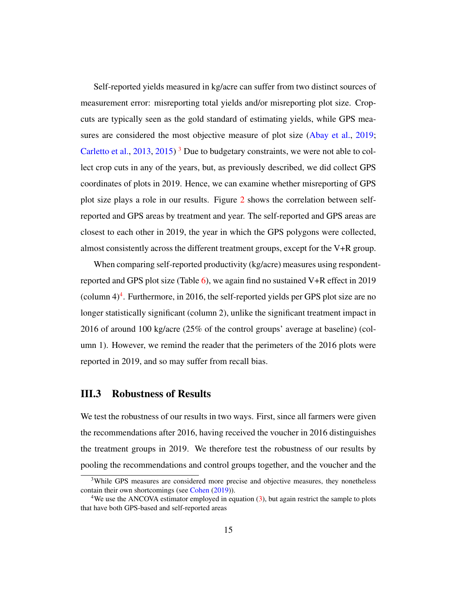Self-reported yields measured in kg/acre can suffer from two distinct sources of measurement error: misreporting total yields and/or misreporting plot size. Cropcuts are typically seen as the gold standard of estimating yields, while GPS mea-sures are considered the most objective measure of plot size [\(Abay et al.,](#page-20-3) [2019;](#page-20-3) [Carletto et al.,](#page-20-4)  $2013$  $2013$ ,  $2015$ )<sup>3</sup> Due to budgetary constraints, we were not able to collect crop cuts in any of the years, but, as previously described, we did collect GPS coordinates of plots in 2019. Hence, we can examine whether misreporting of GPS plot size plays a role in our results. Figure [2](#page-25-0) shows the correlation between selfreported and GPS areas by treatment and year. The self-reported and GPS areas are closest to each other in 2019, the year in which the GPS polygons were collected, almost consistently across the different treatment groups, except for the V+R group.

When comparing self-reported productivity (kg/acre) measures using respondentreported and GPS plot size (Table  $6$ ), we again find no sustained V+R effect in 2019 (column  $4)^4$  $4)^4$ . Furthermore, in 2016, the self-reported yields per GPS plot size are no longer statistically significant (column 2), unlike the significant treatment impact in 2016 of around 100 kg/acre (25% of the control groups' average at baseline) (column 1). However, we remind the reader that the perimeters of the 2016 plots were reported in 2019, and so may suffer from recall bias.

#### III.3 Robustness of Results

We test the robustness of our results in two ways. First, since all farmers were given the recommendations after 2016, having received the voucher in 2016 distinguishes the treatment groups in 2019. We therefore test the robustness of our results by pooling the recommendations and control groups together, and the voucher and the

<span id="page-14-0"></span><sup>&</sup>lt;sup>3</sup>While GPS measures are considered more precise and objective measures, they nonetheless contain their own shortcomings (see [Cohen](#page-21-5) [\(2019\)](#page-21-5)).

<span id="page-14-1"></span><sup>&</sup>lt;sup>4</sup>We use the ANCOVA estimator employed in equation [\(3\)](#page-11-0), but again restrict the sample to plots that have both GPS-based and self-reported areas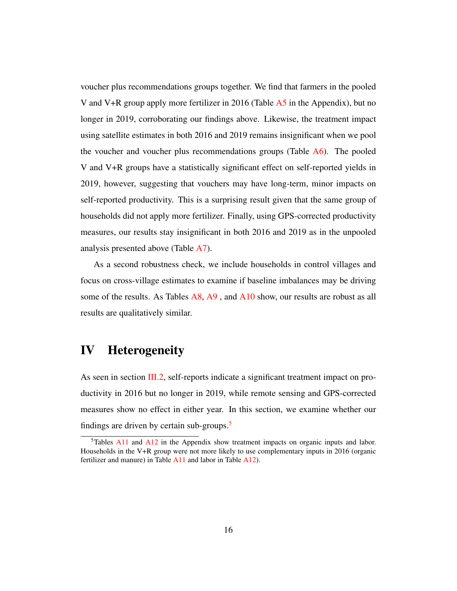voucher plus recommendations groups together. We find that farmers in the pooled V and V+R group apply more fertilizer in 2016 (Table  $\overline{A5}$  $\overline{A5}$  $\overline{A5}$  in the Appendix), but no longer in 2019, corroborating our findings above. Likewise, the treatment impact using satellite estimates in both 2016 and 2019 remains insignificant when we pool the voucher and voucher plus recommendations groups (Table  $A6$ ). The pooled V and V+R groups have a statistically significant effect on self-reported yields in 2019, however, suggesting that vouchers may have long-term, minor impacts on self-reported productivity. This is a surprising result given that the same group of households did not apply more fertilizer. Finally, using GPS-corrected productivity measures, our results stay insignificant in both 2016 and 2019 as in the unpooled analysis presented above (Table [A7\)](#page-42-0).

As a second robustness check, we include households in control villages and focus on cross-village estimates to examine if baseline imbalances may be driving some of the results. As Tables [A8,](#page-43-0) [A9](#page-44-0), and [A10](#page-45-0) show, our results are robust as all results are qualitatively similar.

### <span id="page-15-0"></span>IV Heterogeneity

As seen in section [III.2,](#page-13-0) self-reports indicate a significant treatment impact on productivity in 2016 but no longer in 2019, while remote sensing and GPS-corrected measures show no effect in either year. In this section, we examine whether our findings are driven by certain sub-groups.<sup>[5](#page-15-1)</sup>

<span id="page-15-1"></span> $5$ Tables [A11](#page-46-0) and [A12](#page-47-0) in the Appendix show treatment impacts on organic inputs and labor. Households in the V+R group were not more likely to use complementary inputs in 2016 (organic fertilizer and manure) in Table [A11](#page-46-0) and labor in Table [A12\)](#page-47-0).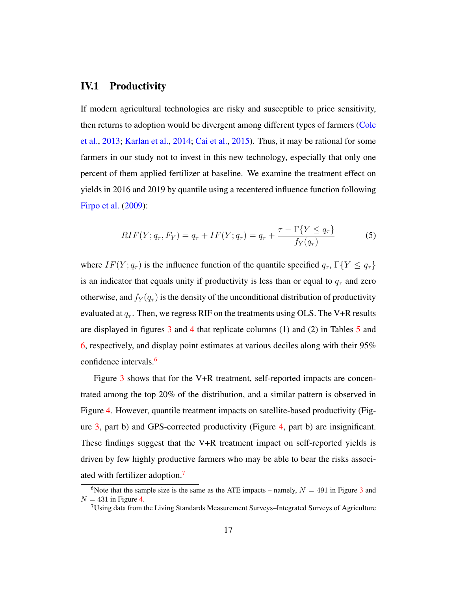### IV.1 Productivity

If modern agricultural technologies are risky and susceptible to price sensitivity, then returns to adoption would be divergent among different types of farmers [\(Cole](#page-21-6) [et al.,](#page-21-6) [2013;](#page-21-6) [Karlan et al.,](#page-22-3) [2014;](#page-22-3) [Cai et al.,](#page-20-6) [2015\)](#page-20-6). Thus, it may be rational for some farmers in our study not to invest in this new technology, especially that only one percent of them applied fertilizer at baseline. We examine the treatment effect on yields in 2016 and 2019 by quantile using a recentered influence function following [Firpo et al.](#page-21-7) [\(2009\)](#page-21-7):

$$
RIF(Y; q_{\tau}, F_Y) = q_{\tau} + IF(Y; q_{\tau}) = q_{\tau} + \frac{\tau - \Gamma\{Y \le q_{\tau}\}}{f_Y(q_{\tau})}
$$
(5)

where  $IF(Y; q_{\tau})$  is the influence function of the quantile specified  $q_{\tau}$ ,  $\Gamma\{Y \leq q_{\tau}\}\$ is an indicator that equals unity if productivity is less than or equal to  $q<sub>\tau</sub>$  and zero otherwise, and  $f_Y(q_\tau)$  is the density of the unconditional distribution of productivity evaluated at  $q_{\tau}$ . Then, we regress RIF on the treatments using OLS. The V+R results are displayed in figures [3](#page-26-0) and [4](#page-27-0) that replicate columns (1) and (2) in Tables [5](#page-32-0) and [6,](#page-33-0) respectively, and display point estimates at various deciles along with their 95% confidence intervals.<sup>[6](#page-16-0)</sup>

Figure [3](#page-26-0) shows that for the V+R treatment, self-reported impacts are concentrated among the top 20% of the distribution, and a similar pattern is observed in Figure [4.](#page-27-0) However, quantile treatment impacts on satellite-based productivity (Figure [3,](#page-26-0) part b) and GPS-corrected productivity (Figure [4,](#page-27-0) part b) are insignificant. These findings suggest that the V+R treatment impact on self-reported yields is driven by few highly productive farmers who may be able to bear the risks associated with fertilizer adoption.[7](#page-16-1)

<span id="page-16-0"></span><sup>&</sup>lt;sup>6</sup>Note that the sample size is the same as the ATE impacts – namely,  $N = 491$  in Figure [3](#page-26-0) and  $N = 431$  in Figure [4.](#page-27-0)

<span id="page-16-1"></span> $7$ Using data from the Living Standards Measurement Surveys–Integrated Surveys of Agriculture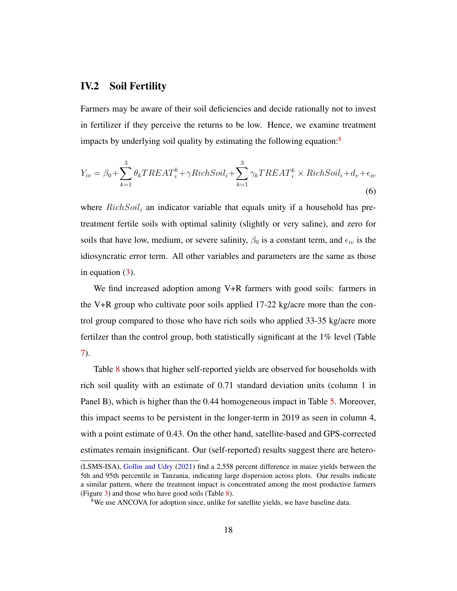### IV.2 Soil Fertility

Farmers may be aware of their soil deficiencies and decide rationally not to invest in fertilizer if they perceive the returns to be low. Hence, we examine treatment impacts by underlying soil quality by estimating the following equation:<sup>[8](#page-17-0)</sup>

$$
Y_{iv} = \beta_0 + \sum_{k=1}^{3} \theta_k TREAT_i^k + \gamma RichSoil_i + \sum_{k=1}^{3} \gamma_k TREAT_i^k \times RichSoil_i + d_v + \epsilon_{iv}
$$
\n(6)

where  $RichSoil<sub>i</sub>$  an indicator variable that equals unity if a household has pretreatment fertile soils with optimal salinity (slightly or very saline), and zero for soils that have low, medium, or severe salinity,  $\beta_0$  is a constant term, and  $\epsilon_{iv}$  is the idiosyncratic error term. All other variables and parameters are the same as those in equation  $(3)$ .

We find increased adoption among V+R farmers with good soils: farmers in the V+R group who cultivate poor soils applied  $17-22$  kg/acre more than the control group compared to those who have rich soils who applied 33-35 kg/acre more fertilzer than the control group, both statistically significant at the 1% level (Table [7\)](#page-34-0).

Table [8](#page-35-0) shows that higher self-reported yields are observed for households with rich soil quality with an estimate of 0.71 standard deviation units (column 1 in Panel B), which is higher than the 0.44 homogeneous impact in Table [5.](#page-32-0) Moreover, this impact seems to be persistent in the longer-term in 2019 as seen in column 4, with a point estimate of 0.43. On the other hand, satellite-based and GPS-corrected estimates remain insignificant. Our (self-reported) results suggest there are hetero-

<sup>(</sup>LSMS-ISA), [Gollin and Udry](#page-21-8) [\(2021\)](#page-21-8) find a 2,558 percent difference in maize yields between the 5th and 95th percentile in Tanzania, indicating large dispersion across plots. Our results indicate a similar pattern, where the treatment impact is concentrated among the most productive farmers (Figure [3\)](#page-26-0) and those who have good soils (Table [8\)](#page-35-0).

<span id="page-17-0"></span><sup>&</sup>lt;sup>8</sup>We use ANCOVA for adoption since, unlike for satellite yields, we have baseline data.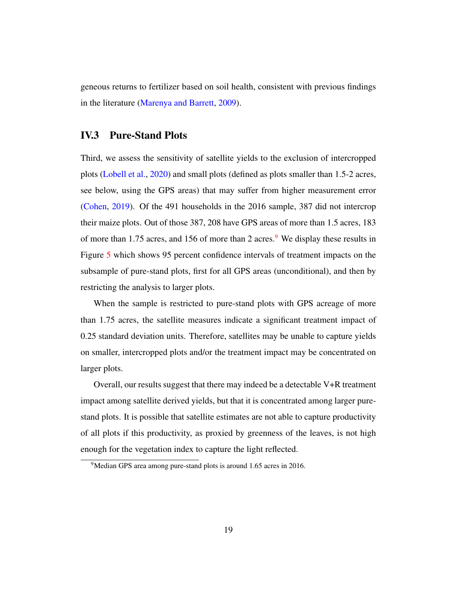geneous returns to fertilizer based on soil health, consistent with previous findings in the literature [\(Marenya and Barrett,](#page-22-2) [2009\)](#page-22-2).

### IV.3 Pure-Stand Plots

Third, we assess the sensitivity of satellite yields to the exclusion of intercropped plots [\(Lobell et al.,](#page-22-5) [2020\)](#page-22-5) and small plots (defined as plots smaller than 1.5-2 acres, see below, using the GPS areas) that may suffer from higher measurement error [\(Cohen,](#page-21-5) [2019\)](#page-21-5). Of the 491 households in the 2016 sample, 387 did not intercrop their maize plots. Out of those 387, 208 have GPS areas of more than 1.5 acres, 183 of more than 1.75 acres, and 156 of more than 2 acres.<sup>[9](#page-18-0)</sup> We display these results in Figure [5](#page-28-0) which shows 95 percent confidence intervals of treatment impacts on the subsample of pure-stand plots, first for all GPS areas (unconditional), and then by restricting the analysis to larger plots.

When the sample is restricted to pure-stand plots with GPS acreage of more than 1.75 acres, the satellite measures indicate a significant treatment impact of 0.25 standard deviation units. Therefore, satellites may be unable to capture yields on smaller, intercropped plots and/or the treatment impact may be concentrated on larger plots.

Overall, our results suggest that there may indeed be a detectable V+R treatment impact among satellite derived yields, but that it is concentrated among larger purestand plots. It is possible that satellite estimates are not able to capture productivity of all plots if this productivity, as proxied by greenness of the leaves, is not high enough for the vegetation index to capture the light reflected.

<span id="page-18-0"></span><sup>&</sup>lt;sup>9</sup>Median GPS area among pure-stand plots is around 1.65 acres in 2016.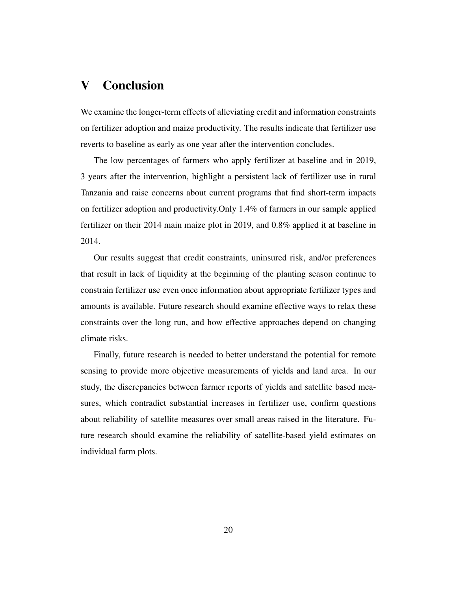## <span id="page-19-0"></span>V Conclusion

We examine the longer-term effects of alleviating credit and information constraints on fertilizer adoption and maize productivity. The results indicate that fertilizer use reverts to baseline as early as one year after the intervention concludes.

The low percentages of farmers who apply fertilizer at baseline and in 2019, 3 years after the intervention, highlight a persistent lack of fertilizer use in rural Tanzania and raise concerns about current programs that find short-term impacts on fertilizer adoption and productivity.Only 1.4% of farmers in our sample applied fertilizer on their 2014 main maize plot in 2019, and 0.8% applied it at baseline in 2014.

Our results suggest that credit constraints, uninsured risk, and/or preferences that result in lack of liquidity at the beginning of the planting season continue to constrain fertilizer use even once information about appropriate fertilizer types and amounts is available. Future research should examine effective ways to relax these constraints over the long run, and how effective approaches depend on changing climate risks.

Finally, future research is needed to better understand the potential for remote sensing to provide more objective measurements of yields and land area. In our study, the discrepancies between farmer reports of yields and satellite based measures, which contradict substantial increases in fertilizer use, confirm questions about reliability of satellite measures over small areas raised in the literature. Future research should examine the reliability of satellite-based yield estimates on individual farm plots.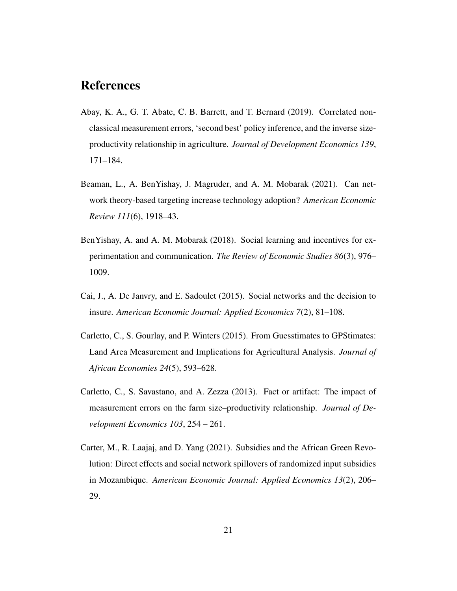## References

- <span id="page-20-3"></span>Abay, K. A., G. T. Abate, C. B. Barrett, and T. Bernard (2019). Correlated nonclassical measurement errors, 'second best' policy inference, and the inverse sizeproductivity relationship in agriculture. *Journal of Development Economics 139*, 171–184.
- <span id="page-20-1"></span>Beaman, L., A. BenYishay, J. Magruder, and A. M. Mobarak (2021). Can network theory-based targeting increase technology adoption? *American Economic Review 111*(6), 1918–43.
- <span id="page-20-0"></span>BenYishay, A. and A. M. Mobarak (2018). Social learning and incentives for experimentation and communication. *The Review of Economic Studies 86*(3), 976– 1009.
- <span id="page-20-6"></span>Cai, J., A. De Janvry, and E. Sadoulet (2015). Social networks and the decision to insure. *American Economic Journal: Applied Economics 7*(2), 81–108.
- <span id="page-20-5"></span>Carletto, C., S. Gourlay, and P. Winters (2015). From Guesstimates to GPStimates: Land Area Measurement and Implications for Agricultural Analysis. *Journal of African Economies 24*(5), 593–628.
- <span id="page-20-4"></span>Carletto, C., S. Savastano, and A. Zezza (2013). Fact or artifact: The impact of measurement errors on the farm size–productivity relationship. *Journal of Development Economics 103*, 254 – 261.
- <span id="page-20-2"></span>Carter, M., R. Laajaj, and D. Yang (2021). Subsidies and the African Green Revolution: Direct effects and social network spillovers of randomized input subsidies in Mozambique. *American Economic Journal: Applied Economics 13*(2), 206– 29.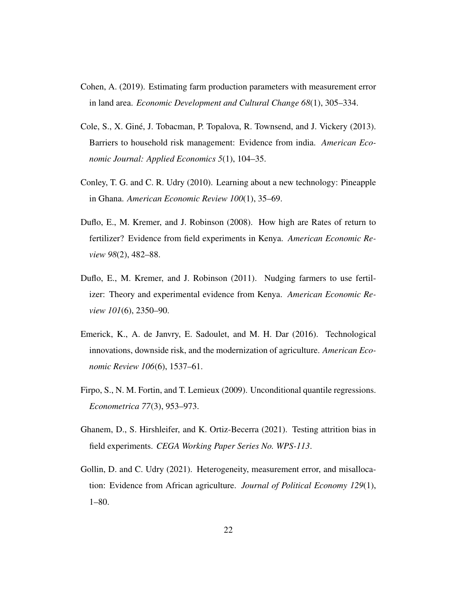- <span id="page-21-5"></span>Cohen, A. (2019). Estimating farm production parameters with measurement error in land area. *Economic Development and Cultural Change 68*(1), 305–334.
- <span id="page-21-6"></span>Cole, S., X. Gine, J. Tobacman, P. Topalova, R. Townsend, and J. Vickery (2013). ´ Barriers to household risk management: Evidence from india. *American Economic Journal: Applied Economics 5*(1), 104–35.
- <span id="page-21-1"></span>Conley, T. G. and C. R. Udry (2010). Learning about a new technology: Pineapple in Ghana. *American Economic Review 100*(1), 35–69.
- <span id="page-21-0"></span>Duflo, E., M. Kremer, and J. Robinson (2008). How high are Rates of return to fertilizer? Evidence from field experiments in Kenya. *American Economic Review 98*(2), 482–88.
- <span id="page-21-2"></span>Duflo, E., M. Kremer, and J. Robinson (2011). Nudging farmers to use fertilizer: Theory and experimental evidence from Kenya. *American Economic Review 101*(6), 2350–90.
- <span id="page-21-3"></span>Emerick, K., A. de Janvry, E. Sadoulet, and M. H. Dar (2016). Technological innovations, downside risk, and the modernization of agriculture. *American Economic Review 106*(6), 1537–61.
- <span id="page-21-7"></span>Firpo, S., N. M. Fortin, and T. Lemieux (2009). Unconditional quantile regressions. *Econometrica 77*(3), 953–973.
- <span id="page-21-4"></span>Ghanem, D., S. Hirshleifer, and K. Ortiz-Becerra (2021). Testing attrition bias in field experiments. *CEGA Working Paper Series No. WPS-113*.
- <span id="page-21-8"></span>Gollin, D. and C. Udry (2021). Heterogeneity, measurement error, and misallocation: Evidence from African agriculture. *Journal of Political Economy 129*(1), 1–80.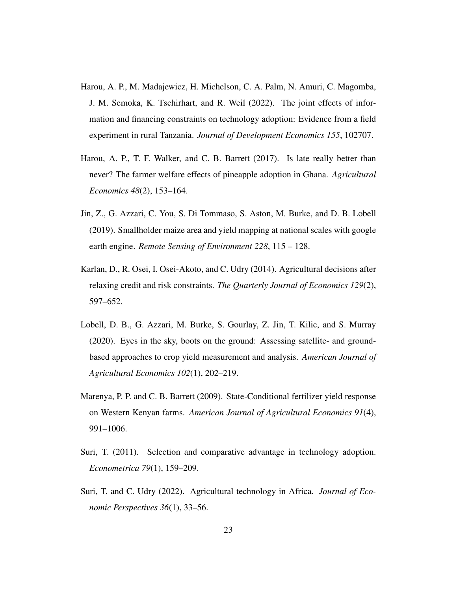- <span id="page-22-1"></span>Harou, A. P., M. Madajewicz, H. Michelson, C. A. Palm, N. Amuri, C. Magomba, J. M. Semoka, K. Tschirhart, and R. Weil (2022). The joint effects of information and financing constraints on technology adoption: Evidence from a field experiment in rural Tanzania. *Journal of Development Economics 155*, 102707.
- <span id="page-22-0"></span>Harou, A. P., T. F. Walker, and C. B. Barrett (2017). Is late really better than never? The farmer welfare effects of pineapple adoption in Ghana. *Agricultural Economics 48*(2), 153–164.
- <span id="page-22-7"></span>Jin, Z., G. Azzari, C. You, S. Di Tommaso, S. Aston, M. Burke, and D. B. Lobell (2019). Smallholder maize area and yield mapping at national scales with google earth engine. *Remote Sensing of Environment 228*, 115 – 128.
- <span id="page-22-3"></span>Karlan, D., R. Osei, I. Osei-Akoto, and C. Udry (2014). Agricultural decisions after relaxing credit and risk constraints. *The Quarterly Journal of Economics 129*(2), 597–652.
- <span id="page-22-5"></span>Lobell, D. B., G. Azzari, M. Burke, S. Gourlay, Z. Jin, T. Kilic, and S. Murray (2020). Eyes in the sky, boots on the ground: Assessing satellite- and groundbased approaches to crop yield measurement and analysis. *American Journal of Agricultural Economics 102*(1), 202–219.
- <span id="page-22-2"></span>Marenya, P. P. and C. B. Barrett (2009). State-Conditional fertilizer yield response on Western Kenyan farms. *American Journal of Agricultural Economics 91*(4), 991–1006.
- <span id="page-22-6"></span>Suri, T. (2011). Selection and comparative advantage in technology adoption. *Econometrica 79*(1), 159–209.
- <span id="page-22-4"></span>Suri, T. and C. Udry (2022). Agricultural technology in Africa. *Journal of Economic Perspectives 36*(1), 33–56.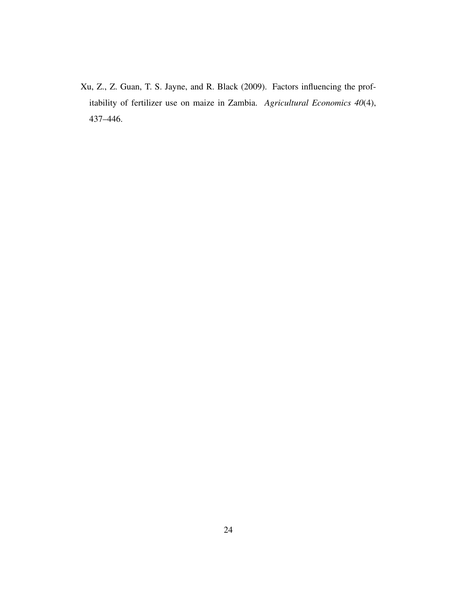<span id="page-23-0"></span>Xu, Z., Z. Guan, T. S. Jayne, and R. Black (2009). Factors influencing the profitability of fertilizer use on maize in Zambia. *Agricultural Economics 40*(4), 437–446.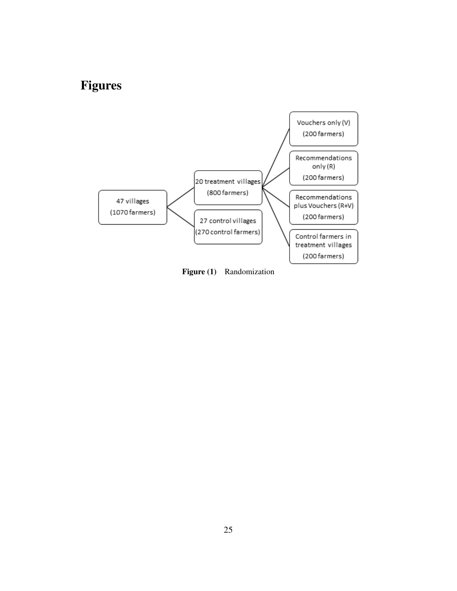# Figures

<span id="page-24-0"></span>

Figure (1) Randomization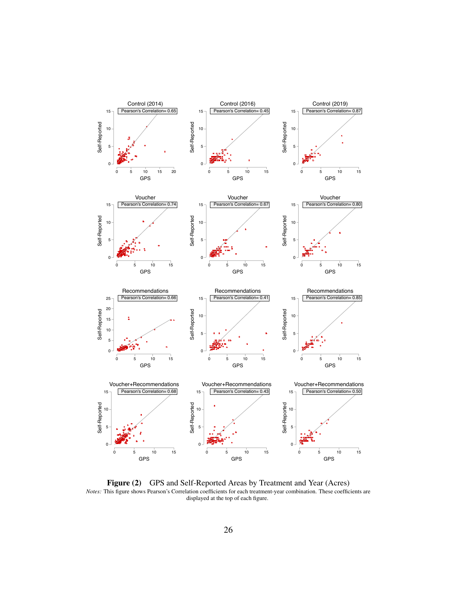<span id="page-25-0"></span>

Figure (2) GPS and Self-Reported Areas by Treatment and Year (Acres) *Notes:* This figure shows Pearson's Correlation coefficients for each treatment-year combination. These coefficients are displayed at the top of each figure.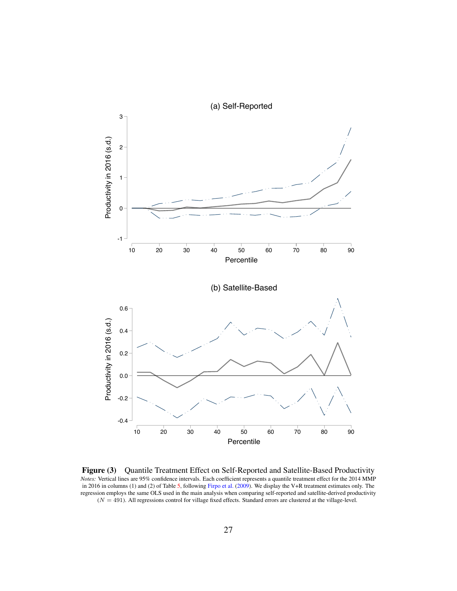<span id="page-26-0"></span>

Figure (3) Quantile Treatment Effect on Self-Reported and Satellite-Based Productivity *Notes:* Vertical lines are 95% confidence intervals. Each coefficient represents a quantile treatment effect for the 2014 MMP in 2016 in columns (1) and (2) of Table [5,](#page-32-0) following [Firpo et al.](#page-21-7) [\(2009\)](#page-21-7). We display the V+R treatment estimates only. The regression employs the same OLS used in the main analysis when comparing self-reported and satellite-derived productivity  $(N = 491)$ . All regressions control for village fixed effects. Standard errors are clustered at the village-level.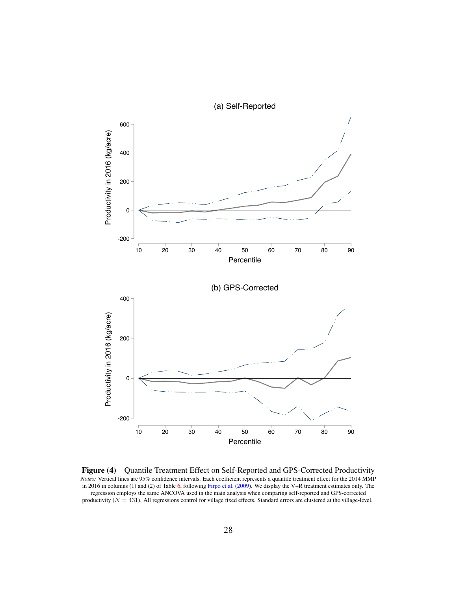<span id="page-27-0"></span>

Figure (4) Quantile Treatment Effect on Self-Reported and GPS-Corrected Productivity *Notes:* Vertical lines are 95% confidence intervals. Each coefficient represents a quantile treatment effect for the 2014 MMP in 2016 in columns (1) and (2) of Table [6,](#page-33-0) following [Firpo et al.](#page-21-7) [\(2009\)](#page-21-7). We display the V+R treatment estimates only. The regression employs the same ANCOVA used in the main analysis when comparing self-reported and GPS-corrected productivity  $(N = 431)$ . All regressions control for village fixed effects. Standard errors are clustered at the village-level.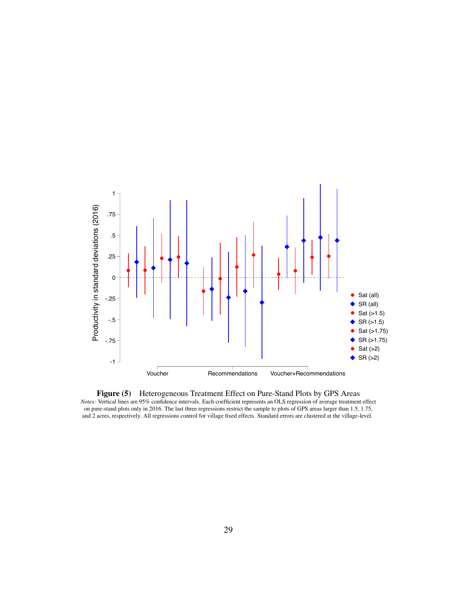<span id="page-28-0"></span>

Figure (5) Heterogeneous Treatment Effect on Pure-Stand Plots by GPS Areas *Notes:* Vertical lines are 95% confidence intervals. Each coefficient represents an OLS regression of average treatment effect on pure-stand plots only in 2016. The last three regressions restrict the sample to plots of GPS areas larger than 1.5, 1.75, and 2 acres, respectively. All regressions control for village fixed effects. Standard errors are clustered at the village-level.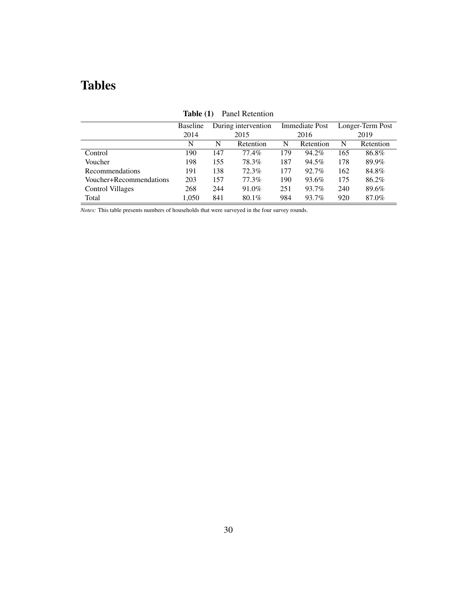# Tables

<span id="page-29-0"></span>

|                         | <b>Baseline</b> |     | During intervention |     | Immediate Post |     | Longer-Term Post |
|-------------------------|-----------------|-----|---------------------|-----|----------------|-----|------------------|
|                         | 2014            |     | 2015                |     | 2016           |     | 2019             |
|                         | N               | N   | Retention           | N   | Retention      | N   | Retention        |
| Control                 | 190             | 147 | 77.4%               | 179 | 94.2%          | 165 | 86.8%            |
| Voucher                 | 198             | 155 | 78.3%               | 187 | 94.5%          | 178 | 89.9%            |
| <b>Recommendations</b>  | 191             | 138 | 72.3%               | 177 | 92.7%          | 162 | 84.8%            |
| Voucher+Recommendations | 203             | 157 | 77.3%               | 190 | 93.6%          | 175 | 86.2%            |
| Control Villages        | 268             | 244 | 91.0%               | 251 | 93.7%          | 240 | 89.6%            |
| Total                   | 1,050           | 841 | $80.1\%$            | 984 | 93.7%          | 920 | 87.0%            |

Table (1) Panel Retention

*Notes:* This table presents numbers of households that were surveyed in the four survey rounds.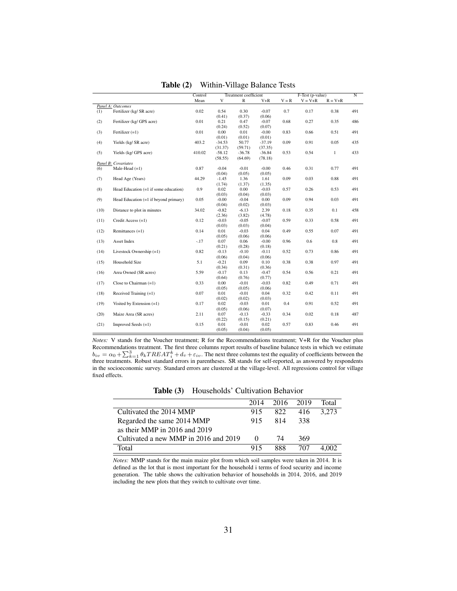<span id="page-30-0"></span>

|      |                                         | Control |          | Treatment coefficient |          |         | F-Test (p-value) |              | N   |
|------|-----------------------------------------|---------|----------|-----------------------|----------|---------|------------------|--------------|-----|
|      |                                         | Mean    | V        | ${\mathbb R}$         | V+R      | $V = R$ | $V = V + R$      | $R = V + R$  |     |
|      | Panel A: Outcomes                       |         |          |                       |          |         |                  |              |     |
| (1)  | Fertilizer (kg/ SR acre)                | 0.02    | 0.54     | 0.30                  | $-0.07$  | 0.7     | 0.17             | 0.38         | 491 |
|      |                                         |         | (0.41)   | (0.37)                | (0.06)   |         |                  |              |     |
| (2)  | Fertilizer (kg/ GPS acre)               | 0.01    | 0.21     | 0.47                  | $-0.07$  | 0.68    | 0.27             | 0.35         | 486 |
|      |                                         |         | (0.24)   | (0.52)                | (0.07)   |         |                  |              |     |
| (3)  | Fertilizer $(=1)$                       | 0.01    | 0.00     | 0.01                  | $-0.00$  | 0.83    | 0.66             | 0.51         | 491 |
|      |                                         |         | (0.01)   | (0.01)                | (0.01)   |         |                  |              |     |
| (4)  | Yields (kg/ SR acre)                    | 403.2   | $-34.53$ | 50.77                 | $-37.19$ | 0.09    | 0.91             | 0.05         | 435 |
|      |                                         |         | (31.37)  | (59.71)               | (37.35)  |         |                  |              |     |
| (5)  | Yields (kg/ GPS acre)                   | 410.02  | $-58.12$ | $-36.78$              | $-36.84$ | 0.53    | 0.54             | $\mathbf{1}$ | 433 |
|      |                                         |         | (58.55)  | (64.69)               | (78.18)  |         |                  |              |     |
|      | Panel B: Covariates                     |         |          |                       |          |         |                  |              |     |
| (6)  | Male-Head $(=1)$                        | 0.87    | $-0.04$  | $-0.01$               | $-0.00$  | 0.46    | 0.31             | 0.77         | 491 |
|      |                                         |         | (0.04)   | (0.05)                | (0.05)   |         |                  |              |     |
| (7)  | Head Age (Years)                        | 44.29   | $-1.45$  | 1.36                  | 1.61     | 0.09    | 0.03             | 0.88         | 491 |
|      |                                         |         | (1.74)   | (1.37)                | (1.35)   |         |                  |              |     |
| (8)  | Head Education $(=1$ if some education) | 0.9     | 0.02     | 0.00                  | $-0.03$  | 0.57    | 0.26             | 0.53         | 491 |
|      |                                         |         | (0.03)   | (0.04)                | (0.03)   |         |                  |              |     |
| (9)  | Head Education (=1 if beyond primary)   | 0.05    | $-0.00$  | $-0.04$               | 0.00     | 0.09    | 0.94             | 0.03         | 491 |
|      |                                         |         | (0.04)   | (0.02)                | (0.03)   |         |                  |              |     |
| (10) | Distance to plot in minutes             | 34.02   | $-0.82$  | $-6.13$               | 2.39     | 0.18    | 0.35             | 0.1          | 458 |
|      |                                         |         | (2.36)   | (3.82)                | (4.78)   |         |                  |              |     |
| (11) | Credit Access (=1)                      | 0.12    | $-0.03$  | $-0.05$               | $-0.07$  | 0.59    | 0.33             | 0.58         | 491 |
|      |                                         |         | (0.03)   | (0.03)                | (0.04)   |         |                  |              |     |
| (12) | Remittances $(=1)$                      | 0.14    | 0.01     | $-0.03$               | 0.04     | 0.49    | 0.55             | 0.07         | 491 |
|      |                                         |         | (0.05)   | (0.06)                | (0.06)   |         |                  |              |     |
| (13) | Asset Index                             | $-.17$  | 0.07     | 0.06                  | $-0.00$  | 0.96    | 0.6              | $0.8\,$      | 491 |
|      |                                         |         | (0.21)   | (0.28)                | (0.18)   |         |                  |              |     |
| (14) | Livestock Ownership $(=1)$              | 0.82    | $-0.13$  | $-0.10$               | $-0.11$  | 0.52    | 0.73             | 0.86         | 491 |
|      |                                         |         | (0.06)   | (0.04)                | (0.06)   |         |                  |              |     |
| (15) | Household Size                          | 5.1     | $-0.21$  | 0.09                  | 0.10     | 0.38    | 0.38             | 0.97         | 491 |
|      |                                         |         | (0.34)   | (0.31)                | (0.36)   |         |                  |              |     |
| (16) | Area Owned (SR acres)                   | 5.59    | $-0.17$  | 0.13                  | $-0.47$  | 0.54    | 0.56             | 0.21         | 491 |
|      |                                         |         | (0.64)   | (0.76)                | (0.77)   |         |                  |              |     |
| (17) | Close to Chairman $(=1)$                | 0.33    | 0.00     | $-0.01$               | $-0.03$  | 0.82    | 0.49             | 0.71         | 491 |
|      |                                         |         | (0.05)   | (0.05)                | (0.06)   |         |                  |              |     |
| (18) | Received Training $(=1)$                | 0.07    | 0.01     | $-0.01$               | 0.04     | 0.32    | 0.42             | 0.11         | 491 |
|      |                                         |         | (0.02)   | (0.02)                | (0.03)   |         |                  |              |     |
| (19) | Visited by Extension $(=1)$             | 0.17    | 0.02     | $-0.03$               | 0.01     | 0.4     | 0.91             | 0.52         | 491 |
|      |                                         |         | (0.05)   | (0.06)                | (0.07)   |         |                  |              |     |
| (20) | Maize Area (SR acres)                   | 2.11    | 0.07     | $-0.13$               | $-0.33$  | 0.34    | 0.02             | 0.18         | 487 |
|      |                                         |         | (0.22)   | (0.15)                | (0.21)   |         |                  |              |     |
| (21) | Improved Seeds (=1)                     | 0.15    | 0.01     | $-0.01$               | 0.02     | 0.57    | 0.83             | 0.46         | 491 |
|      |                                         |         | (0.05)   | (0.04)                | (0.05)   |         |                  |              |     |

Table (2) Within-Village Balance Tests

*Notes:* V stands for the Voucher treatment; R for the Recommendations treatment; V+R for the Voucher plus Recommendations treatment. The first three columns report results of baseline balance tests in which we estimate  $b_{iv} = \alpha_0 + \sum_{k=1}^{3} \theta_k T REAL_i^k + d_v + \varepsilon_{iv}$ . The next three columns test the equality of coefficients between the three treatments. Robust standard errors in parentheses. SR stands for self-reported, as answered by responde in the socioeconomic survey. Standard errors are clustered at the village-level. All regressions control for village fixed effects.

Table (3) Households' Cultivation Behavior

<span id="page-30-1"></span>

|                                       | 2014     | 2016 2019 |     | Total |
|---------------------------------------|----------|-----------|-----|-------|
| Cultivated the 2014 MMP               | 915      | 822       | 416 | 3.273 |
| Regarded the same 2014 MMP            | 915      | 814       | 338 |       |
| as their MMP in 2016 and 2019         |          |           |     |       |
| Cultivated a new MMP in 2016 and 2019 | $\Omega$ | 74        | 369 |       |
| Total                                 | 915      | 888       | 707 |       |

*Notes:* MMP stands for the main maize plot from which soil samples were taken in 2014. It is defined as the lot that is most important for the household i terms of food security and income generation. The table shows the cultivation behavior of households in 2014, 2016, and 2019 including the new plots that they switch to cultivate over time.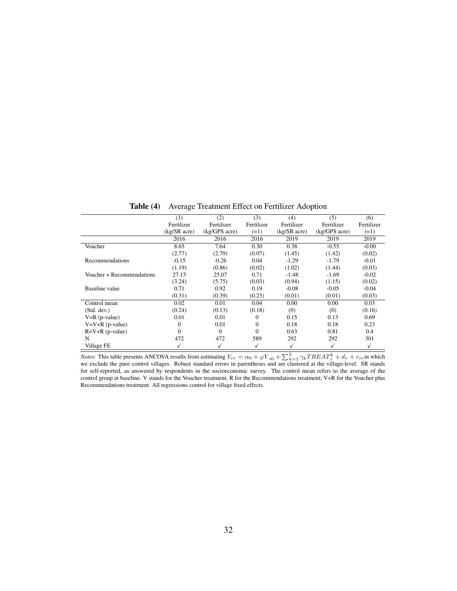<span id="page-31-0"></span>

|                           | (1)            | (2)                | (3)        | (4)              | (5)                | (6)        |
|---------------------------|----------------|--------------------|------------|------------------|--------------------|------------|
|                           | Fertilizer     | Fertilizer         | Fertilizer | Fertilizer       | Fertilizer         | Fertilizer |
|                           | $(kg/SR$ acre) | $(kg/GPS \, acre)$ | $(=1)$     | $(kg/SR \naccr)$ | $(kg/GPS \, acre)$ | $(=1)$     |
|                           | 2016           | 2016               | 2016       | 2019             | 2019               | 2019       |
| Voucher                   | 8.65           | 7.64               | 0.30       | 0.38             | $-0.55$            | $-0.00$    |
|                           | (2.77)         | (2.79)             | (0.07)     | (1.45)           | (1.42)             | (0.02)     |
| Recommendations           | $-0.15$        | $-0.26$            | 0.04       | $-1.29$          | $-1.79$            | -0.01      |
|                           | (1.19)         | (0.86)             | (0.02)     | (1.02)           | (1.44)             | (0.03)     |
| Voucher + Recommendations | 27.15          | 25.07              | 0.71       | $-1.48$          | $-1.69$            | $-0.02$    |
|                           | (3.24)         | (5.75)             | (0.03)     | (0.94)           | (1.15)             | (0.02)     |
| Baseline value            | 0.71           | 0.92               | 0.19       | $-0.08$          | $-0.05$            | $-0.04$    |
|                           | (0.31)         | (0.39)             | (0.23)     | (0.01)           | (0.01)             | (0.03)     |
| Control mean              | 0.02           | 0.01               | 0.04       | 0.00             | 0.00               | 0.03       |
| (Std. dev.)               | (0.24)         | (0.13)             | (0.18)     | (0)              | (0)                | (0.16)     |
| $V=R$ (p-value)           | 0.01           | 0.01               | $\Omega$   | 0.15             | 0.13               | 0.69       |
| $V = V + R$ (p-value)     | 0              | 0.01               | $\Omega$   | 0.18             | 0.18               | 0.23       |
| $R=V+R$ (p-value)         | $\Omega$       | $\mathbf{0}$       | $\Omega$   | 0.63             | 0.81               | 0.4        |
| N                         | 472            | 472                | 589        | 292              | 292                | 301        |
| Village FE                |                |                    |            | ✓                |                    |            |

Table (4) Average Treatment Effect on Fertilizer Adoption

*Notes:* This table presents ANCOVA results from estimating  $Y_{iv} = \alpha_0 + \varphi Y_{i0} + \sum_{k=1}^{3} \gamma_k T REAL_i^k + d_v + \varepsilon_{iv}$  in which we exclude the pure control villages. Robust standard errors in parentheses and are clustered at the village-level. SR stands for self-reported, as answered by respondents in the socioeconomic survey. The control mean refers to the average of the control group at baseline. V stands for the Voucher treatment; R for the Recommendations treatment; V+R for the Voucher plus Recommendations treatment. All regressions control for village fixed effects.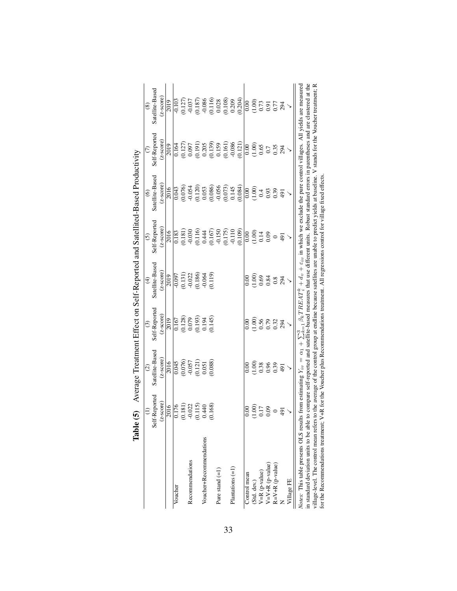|                                                                                                                                                                                                                                                                                                                                                                                                                                                                                                                                                                                                                                                                                                                                                  | $\tilde{g}$<br>Table ( |                                                     |                                                                            |                                                                     |                       | Average Treatment Effect on Self-Reported and Satellited-Based Productivity |                                                                  |                                                                                    |
|--------------------------------------------------------------------------------------------------------------------------------------------------------------------------------------------------------------------------------------------------------------------------------------------------------------------------------------------------------------------------------------------------------------------------------------------------------------------------------------------------------------------------------------------------------------------------------------------------------------------------------------------------------------------------------------------------------------------------------------------------|------------------------|-----------------------------------------------------|----------------------------------------------------------------------------|---------------------------------------------------------------------|-----------------------|-----------------------------------------------------------------------------|------------------------------------------------------------------|------------------------------------------------------------------------------------|
|                                                                                                                                                                                                                                                                                                                                                                                                                                                                                                                                                                                                                                                                                                                                                  | $\widehat{z}$          | $\widehat{c}$                                       | $\odot$                                                                    | $\widehat{\mathcal{F}}$                                             | $\odot$               | $\circledcirc$                                                              | $\epsilon$                                                       | $\circledast$                                                                      |
|                                                                                                                                                                                                                                                                                                                                                                                                                                                                                                                                                                                                                                                                                                                                                  | Self-Reported          | Satellite-Based                                     | Self-Reported                                                              | Satellite-Based                                                     | Self-Reported         | Satellite-Based                                                             | Self-Reported                                                    | Satellite-Based                                                                    |
|                                                                                                                                                                                                                                                                                                                                                                                                                                                                                                                                                                                                                                                                                                                                                  | $(z$ -score $)$        | $(z$ -score $)$                                     | $(z$ -score $)$                                                            | $(z-score)$                                                         | $(z$ -score $)$       | $(z$ -score $)$                                                             | $(z$ -score $)$                                                  | $(z - score)$                                                                      |
|                                                                                                                                                                                                                                                                                                                                                                                                                                                                                                                                                                                                                                                                                                                                                  | 2016                   | 2016                                                | $\frac{2019}{20}$                                                          | $\overline{2019}$                                                   | 2016                  | 2016                                                                        | 2019                                                             | 2019                                                                               |
| Voucher                                                                                                                                                                                                                                                                                                                                                                                                                                                                                                                                                                                                                                                                                                                                          | 0.176                  | 0.045                                               |                                                                            |                                                                     |                       | 0.043                                                                       | 0.164                                                            | 0.103                                                                              |
|                                                                                                                                                                                                                                                                                                                                                                                                                                                                                                                                                                                                                                                                                                                                                  | (0.181)                |                                                     |                                                                            |                                                                     |                       | (0.076)                                                                     |                                                                  |                                                                                    |
| Recommendations                                                                                                                                                                                                                                                                                                                                                                                                                                                                                                                                                                                                                                                                                                                                  | $-0.022$               |                                                     |                                                                            |                                                                     | $\frac{0.183}{0.181}$ | $-0.054$                                                                    |                                                                  | $\frac{(0.127)}{-0.037}$                                                           |
|                                                                                                                                                                                                                                                                                                                                                                                                                                                                                                                                                                                                                                                                                                                                                  | (0.115)                | $(0.076)$<br>$-0.057$<br>$(0.121)$                  | $\begin{array}{c} 0.167 \\ 0.128) \\ 0.079 \\ 0.193) \\ 0.194 \end{array}$ | $\frac{1}{0.097}$<br>$\frac{0.131}{0.022}$<br>$\frac{0.022}{0.180}$ | (0.116)               | (0.120)                                                                     | $\begin{array}{c} (0.127) \\ 0.097 \\ 0.191) \end{array}$        | $\begin{array}{c} (0.187) \\ -0.086 \\ (0.116) \\ 0.028 \\ (0.108) \\ \end{array}$ |
| Voucher+Recommendations                                                                                                                                                                                                                                                                                                                                                                                                                                                                                                                                                                                                                                                                                                                          | 0.440                  | $0.051\,$                                           |                                                                            |                                                                     | 0.444                 | $\begin{array}{c} 0.053 \\ 0.086 \end{array}$                               | $\begin{array}{c} 0.205 \\ 0.139 \\ 0.159 \\ 0.0161 \end{array}$ |                                                                                    |
|                                                                                                                                                                                                                                                                                                                                                                                                                                                                                                                                                                                                                                                                                                                                                  | (0.168)                | (0.088)                                             | (0.145)                                                                    | (611.0)                                                             | (0.167)               |                                                                             |                                                                  |                                                                                    |
| Pure stand $(=1)$                                                                                                                                                                                                                                                                                                                                                                                                                                                                                                                                                                                                                                                                                                                                |                        |                                                     |                                                                            |                                                                     | $-0.150$              | $-0.056$                                                                    |                                                                  |                                                                                    |
|                                                                                                                                                                                                                                                                                                                                                                                                                                                                                                                                                                                                                                                                                                                                                  |                        |                                                     |                                                                            |                                                                     | $(0.175)$<br>$-0.110$ | $(0.073)$<br>0.145                                                          |                                                                  |                                                                                    |
| Plantations $(=1)$                                                                                                                                                                                                                                                                                                                                                                                                                                                                                                                                                                                                                                                                                                                               |                        |                                                     |                                                                            |                                                                     |                       |                                                                             | $-0.086$                                                         | 0.209                                                                              |
|                                                                                                                                                                                                                                                                                                                                                                                                                                                                                                                                                                                                                                                                                                                                                  |                        |                                                     |                                                                            |                                                                     | (0.109)               | (0.084)                                                                     | (0.121)                                                          | (0.204)                                                                            |
| Control mean                                                                                                                                                                                                                                                                                                                                                                                                                                                                                                                                                                                                                                                                                                                                     | 0.00                   | 0.00                                                |                                                                            | $_{0.00}$                                                           | $_{0.00}$             | 0.00                                                                        |                                                                  |                                                                                    |
| (Std. dev.)                                                                                                                                                                                                                                                                                                                                                                                                                                                                                                                                                                                                                                                                                                                                      | (1.00)                 | $\begin{array}{c} 0.00 \\ 0.38 \\ 0.96 \end{array}$ |                                                                            | (1.00)                                                              | (1.00)                | (1.00)                                                                      |                                                                  |                                                                                    |
|                                                                                                                                                                                                                                                                                                                                                                                                                                                                                                                                                                                                                                                                                                                                                  | 0.17                   |                                                     | 0.56                                                                       |                                                                     | 0.14                  | 0.4                                                                         | 0.65                                                             |                                                                                    |
| $V=R (p-value)$<br>$V=V+R (p-value)$                                                                                                                                                                                                                                                                                                                                                                                                                                                                                                                                                                                                                                                                                                             | 0.09                   |                                                     |                                                                            | 0.84                                                                | 0.09                  | 0.93                                                                        | 0.7                                                              | 0.91                                                                               |
| $R=V+R$ (p-value)                                                                                                                                                                                                                                                                                                                                                                                                                                                                                                                                                                                                                                                                                                                                | $\circ$                | 0.39                                                | 0.32                                                                       | $0.8$<br>294                                                        | $\circ$               | 0.39                                                                        | 0.35                                                             | 0.77                                                                               |
|                                                                                                                                                                                                                                                                                                                                                                                                                                                                                                                                                                                                                                                                                                                                                  | $\overline{16}$        | 491                                                 | 294                                                                        |                                                                     | 491                   | 491                                                                         | 294                                                              | 294                                                                                |
| <b>Allage FE</b>                                                                                                                                                                                                                                                                                                                                                                                                                                                                                                                                                                                                                                                                                                                                 |                        |                                                     |                                                                            |                                                                     |                       |                                                                             |                                                                  |                                                                                    |
| in standard deviation units to be able to compare self-reported and satellite-based measures that use different units. Robust standard errors in parentheses and are clustered at the<br>village-level. The control mean refers to the average of the control group at endline because satellites are unable to predict yields at baseline. V stands for the Voucher treatment, R<br>Notes: This table presents OLS results from estimating $Y_{iv} = \alpha_1 + \sum_{k=1}^3 \beta_k T R E A T_k^k + d_v + \varepsilon_{iv}$ in which we exclude the pure control villages. All yields are measured<br>for the Recommendations treatment; V+R for the Voucher plus Recommendations treatment. All regressions control for village fixed effects |                        |                                                     |                                                                            |                                                                     |                       |                                                                             |                                                                  |                                                                                    |

<span id="page-32-0"></span>

| i<br>!                   |  |
|--------------------------|--|
|                          |  |
|                          |  |
|                          |  |
|                          |  |
| $\overline{\phantom{a}}$ |  |
|                          |  |
|                          |  |
|                          |  |
|                          |  |
| $\frac{1}{2}$            |  |
|                          |  |
|                          |  |
|                          |  |
|                          |  |
| $+$ Domain and $+$       |  |
|                          |  |
| )<br>1<br>1<br>1         |  |
|                          |  |
|                          |  |
| d                        |  |
|                          |  |
| $\frac{1}{2}$            |  |
|                          |  |
| <br> <br> <br>           |  |
|                          |  |
| $-5$                     |  |
| ;<br>;                   |  |
| $\mathbf{I}$             |  |
| ίς<br>Γ                  |  |
|                          |  |
|                          |  |
|                          |  |
|                          |  |
|                          |  |
| ;<br>;<br>;              |  |
| I                        |  |
| J                        |  |
|                          |  |
|                          |  |
|                          |  |
|                          |  |
|                          |  |
| $\frac{1}{2}$<br>$\cdot$ |  |
|                          |  |
|                          |  |
|                          |  |
| i<br>F                   |  |
|                          |  |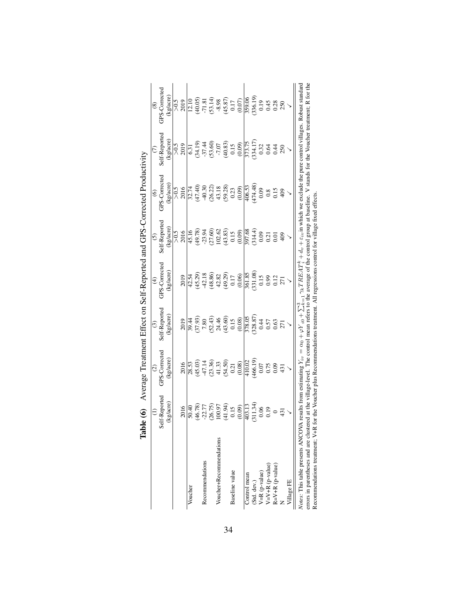|                                                                                                                                                                                                                                                                                                                    | Table                                                    | (6) Average Treatment Effect on Self-Reported and GPS-Corrected Productivity                                                                                                                                                                  |                                                                               |                                                                                             |                                                                                     |                                                          |                                                                                                           |                     |
|--------------------------------------------------------------------------------------------------------------------------------------------------------------------------------------------------------------------------------------------------------------------------------------------------------------------|----------------------------------------------------------|-----------------------------------------------------------------------------------------------------------------------------------------------------------------------------------------------------------------------------------------------|-------------------------------------------------------------------------------|---------------------------------------------------------------------------------------------|-------------------------------------------------------------------------------------|----------------------------------------------------------|-----------------------------------------------------------------------------------------------------------|---------------------|
|                                                                                                                                                                                                                                                                                                                    | $\widehat{z}$                                            | $\widehat{c}$                                                                                                                                                                                                                                 | $\odot$                                                                       | $\widehat{f}$                                                                               | $\odot$                                                                             | $\circledcirc$                                           |                                                                                                           | $\circledast$       |
|                                                                                                                                                                                                                                                                                                                    | Self-Reported                                            | GPS-Corrected                                                                                                                                                                                                                                 | Self-Reported                                                                 | GPS-Corrected                                                                               | Self-Reported                                                                       | GPS-Corrected                                            | Self-Reported                                                                                             | GPS-Corrected       |
|                                                                                                                                                                                                                                                                                                                    | (kg/acre)                                                | (kg/acre)                                                                                                                                                                                                                                     | (kg/acre)                                                                     | (kg/acre)                                                                                   | (kg/acre)                                                                           | (kg/acre)                                                | (kg/acre)                                                                                                 | (kg/acre)           |
|                                                                                                                                                                                                                                                                                                                    |                                                          |                                                                                                                                                                                                                                               |                                                                               |                                                                                             | > 0.5                                                                               |                                                          |                                                                                                           |                     |
|                                                                                                                                                                                                                                                                                                                    | 2016                                                     | 2016                                                                                                                                                                                                                                          | 2019                                                                          | 2019                                                                                        | 2016                                                                                | $>0.5$<br>2016                                           | $>0.5$<br>2019                                                                                            | $\frac{5000}{2000}$ |
| Voucher                                                                                                                                                                                                                                                                                                            | 50.40                                                    |                                                                                                                                                                                                                                               |                                                                               |                                                                                             | 45.16                                                                               |                                                          |                                                                                                           |                     |
|                                                                                                                                                                                                                                                                                                                    | 46.78)                                                   | $\begin{array}{l} 28.53 \\ (45.03) \\ 47.14 \\ (23.36) \\ 41.33 \\ (54.50) \\ 0.21 \end{array}$                                                                                                                                               | 39.44<br>(37.93)                                                              |                                                                                             |                                                                                     | $71\n(47.40)\n(40.30\n(36.22)\n(36.28)\n(59.28)\n(0.09)$ | $\begin{array}{l} 6.31 \\ (34.19) \\ -37.44 \\ (53.60) \\ -7.07 \\ (40.83) \\ (0.15) \\ 0.15 \end{array}$ |                     |
| Recommendations                                                                                                                                                                                                                                                                                                    |                                                          |                                                                                                                                                                                                                                               |                                                                               |                                                                                             |                                                                                     |                                                          |                                                                                                           |                     |
|                                                                                                                                                                                                                                                                                                                    |                                                          |                                                                                                                                                                                                                                               |                                                                               |                                                                                             |                                                                                     |                                                          |                                                                                                           |                     |
| Voucher+Recommendations                                                                                                                                                                                                                                                                                            |                                                          |                                                                                                                                                                                                                                               |                                                                               |                                                                                             |                                                                                     |                                                          |                                                                                                           |                     |
|                                                                                                                                                                                                                                                                                                                    | $22.77$<br>$26.75$ )<br>$26.75$ )<br>$41.94$ )<br>$0.15$ |                                                                                                                                                                                                                                               | $\begin{array}{c} 7.80 \\ 7.43) \\ 24.46 \\ 0.15 \\ 0.15 \\ 0.08 \end{array}$ |                                                                                             | $\begin{array}{l} (49.78) \\ -23.94 \\ (27.60) \\ 102.62 \\ (43.83) \\ \end{array}$ |                                                          |                                                                                                           |                     |
| Baseline value                                                                                                                                                                                                                                                                                                     |                                                          |                                                                                                                                                                                                                                               |                                                                               |                                                                                             |                                                                                     |                                                          |                                                                                                           |                     |
|                                                                                                                                                                                                                                                                                                                    | (0.09)                                                   |                                                                                                                                                                                                                                               |                                                                               | $42.54$<br>$(45.29)$<br>$42.18$<br>$(48.86)$<br>$(48.82)$<br>$42.29$<br>$(17)$<br>$(10.06)$ | (0.09)                                                                              |                                                          |                                                                                                           |                     |
| Control mean                                                                                                                                                                                                                                                                                                       | 103.13                                                   |                                                                                                                                                                                                                                               |                                                                               |                                                                                             |                                                                                     |                                                          |                                                                                                           |                     |
| (Std. dev.)                                                                                                                                                                                                                                                                                                        | $(311.34)$<br>0.06                                       | $\frac{410.02}{(466.19)}$                                                                                                                                                                                                                     | $\frac{378.05}{(328.87)}$<br>0.44                                             | $\frac{361.85}{(331.08)}$                                                                   | 397.68<br>(314.4)<br>0.09                                                           | $\frac{406.53}{(474.48)}$                                | $\begin{array}{l} 775.75 \\ 773.17 \\ 0.32 \\ 0.32 \\ 0.64 \\ 0.44 \\ 0.80 \\ \end{array}$                |                     |
| $V=R$ (p-value)                                                                                                                                                                                                                                                                                                    |                                                          |                                                                                                                                                                                                                                               |                                                                               |                                                                                             |                                                                                     | 0.09                                                     |                                                                                                           |                     |
| $V=V+R$ (p-value)                                                                                                                                                                                                                                                                                                  |                                                          | $\begin{array}{c} 0.75 \\ 0.09 \\ 431 \end{array}$                                                                                                                                                                                            | $0.57$<br>$0.63$                                                              | 0.99                                                                                        | $\frac{0.21}{0.01}$                                                                 | 0.15                                                     |                                                                                                           |                     |
| $R = V + R$ (p-value)                                                                                                                                                                                                                                                                                              | $\frac{0.19}{0.431}$                                     |                                                                                                                                                                                                                                               |                                                                               |                                                                                             |                                                                                     |                                                          |                                                                                                           |                     |
|                                                                                                                                                                                                                                                                                                                    |                                                          |                                                                                                                                                                                                                                               | 271                                                                           | 271                                                                                         | 409                                                                                 | 409                                                      |                                                                                                           |                     |
| Village FE                                                                                                                                                                                                                                                                                                         |                                                          |                                                                                                                                                                                                                                               |                                                                               |                                                                                             |                                                                                     |                                                          |                                                                                                           |                     |
| <i>Notes</i> : This table presents ANCOVA results from estimating $Y_{iv} = \alpha_0 + \varphi Y_{i0} + \sum_{i=1}^3 \gamma_k T R B A T_i^k + d_v + \epsilon_{iv}$ in which we exclude the pure control villages. Robust standard<br>errors in parentheses and are clustered<br>Recommendations treatment; V+R for |                                                          | at the village-level. The control mean refers to the average of the control group at baseline. V stands for the Voucher treatment; R for the<br>the Voucher plus Recommendations treatment. All regressions control for village fixed effects |                                                                               |                                                                                             |                                                                                     |                                                          |                                                                                                           |                     |

<span id="page-33-0"></span>

| くてんく<br>ļ<br>ĺ<br>l<br>l,<br>١<br>-<br>}<br>i<br>I<br>I |  |
|---------------------------------------------------------|--|
| ١<br>ì                                                  |  |
|                                                         |  |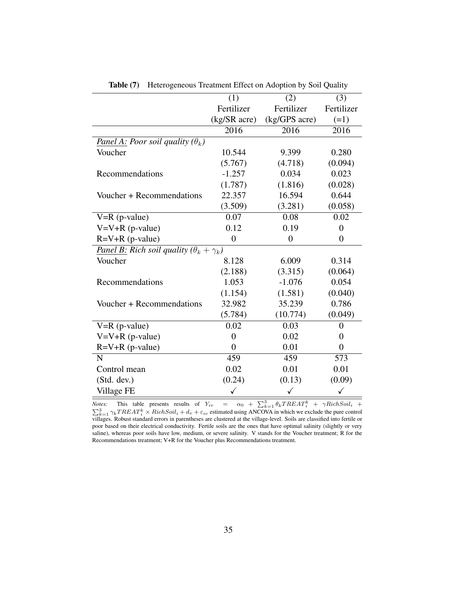<span id="page-34-0"></span>

|                                                           | (1)            | (2)            | (3)              |
|-----------------------------------------------------------|----------------|----------------|------------------|
|                                                           | Fertilizer     | Fertilizer     | Fertilizer       |
|                                                           | (kg/SR acre)   | (kg/GPS acre)  | $(=1)$           |
|                                                           | 2016           | 2016           | 2016             |
| Panel A: Poor soil quality $(\theta_k)$                   |                |                |                  |
| Voucher                                                   | 10.544         | 9.399          | 0.280            |
|                                                           | (5.767)        | (4.718)        | (0.094)          |
| Recommendations                                           | $-1.257$       | 0.034          | 0.023            |
|                                                           | (1.787)        | (1.816)        | (0.028)          |
| Voucher + Recommendations                                 | 22.357         | 16.594         | 0.644            |
|                                                           | (3.509)        | (3.281)        | (0.058)          |
| $V=R$ (p-value)                                           | 0.07           | 0.08           | 0.02             |
| $V=V+R$ (p-value)                                         | 0.12           | 0.19           | $\overline{0}$   |
| $R=V+R$ (p-value)                                         | $\overline{0}$ | $\overline{0}$ | $\overline{0}$   |
| <b>Panel B:</b> Rich soil quality $(\theta_k + \gamma_k)$ |                |                |                  |
| Voucher                                                   | 8.128          | 6.009          | 0.314            |
|                                                           | (2.188)        | (3.315)        | (0.064)          |
| Recommendations                                           | 1.053          | $-1.076$       | 0.054            |
|                                                           | (1.154)        | (1.581)        | (0.040)          |
| Voucher + Recommendations                                 | 32.982         | 35.239         | 0.786            |
|                                                           | (5.784)        | (10.774)       | (0.049)          |
| $V=R(p-value)$                                            | 0.02           | 0.03           | $\overline{0}$   |
| $V=V+R$ (p-value)                                         | $\overline{0}$ | 0.02           | $\overline{0}$   |
| $R=V+R$ (p-value)                                         | $\overline{0}$ | 0.01           | $\boldsymbol{0}$ |
| N                                                         | 459            | 459            | 573              |
| Control mean                                              | 0.02           | 0.01           | 0.01             |
| (Std. dev.)                                               | (0.24)         | (0.13)         | (0.09)           |
| Village FE                                                |                | ✓              | ✓                |

Table (7) Heterogeneous Treatment Effect on Adoption by Soil Quality

*Notes:* This table presents results of  $Y_{iv} = \alpha_0 + \sum_{k=1}^{3} \theta_k T R E A T_i^k + \gamma RichSoli_i +$  $\sum_{k=1}^{3} \gamma_k T REAL_i^k \times RichSoil_i + d_v + \varepsilon_{iv}$  estimated using ANCOVA in which we exclude the pure control villages. Robust standard errors in parentheses are clustered at the village-level. Soils are classified into fertile or poor based on their electrical conductivity. Fertile soils are the ones that have optimal salinity (slightly or very saline), whereas poor soils have low, medium, or severe salinity. V stands for the Voucher treatment; R for the Recommendations treatment; V+R for the Voucher plus Recommendations treatment.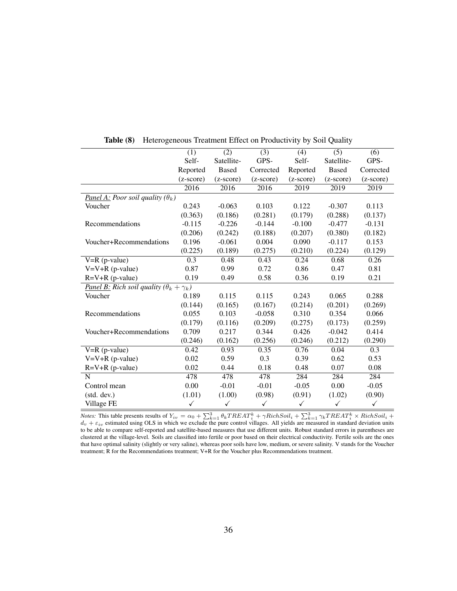<span id="page-35-0"></span>

|                                                           | (1)         | (2)                | (3)                | (4)         | $\overline{(5)}$   | (6)                |
|-----------------------------------------------------------|-------------|--------------------|--------------------|-------------|--------------------|--------------------|
|                                                           | Self-       | Satellite-         | GPS-               | Self-       | Satellite-         | GPS-               |
|                                                           | Reported    | <b>Based</b>       | Corrected          | Reported    | <b>Based</b>       | Corrected          |
|                                                           | $(z-score)$ | $(z\text{-score})$ | $(z\text{-score})$ | $(z-score)$ | $(z\text{-score})$ | $(z\text{-score})$ |
|                                                           | 2016        | 2016               | 2016               | 2019        | 2019               | 2019               |
| Panel A: Poor soil quality $(\theta_k)$                   |             |                    |                    |             |                    |                    |
| Voucher                                                   | 0.243       | $-0.063$           | 0.103              | 0.122       | $-0.307$           | 0.113              |
|                                                           | (0.363)     | (0.186)            | (0.281)            | (0.179)     | (0.288)            | (0.137)            |
| Recommendations                                           | $-0.115$    | $-0.226$           | $-0.144$           | $-0.100$    | $-0.477$           | $-0.131$           |
|                                                           | (0.206)     | (0.242)            | (0.188)            | (0.207)     | (0.380)            | (0.182)            |
| Voucher+Recommendations                                   | 0.196       | $-0.061$           | 0.004              | 0.090       | $-0.117$           | 0.153              |
|                                                           | (0.225)     | (0.189)            | (0.275)            | (0.210)     | (0.224)            | (0.129)            |
| $V=R$ (p-value)                                           | 0.3         | 0.48               | 0.43               | 0.24        | 0.68               | 0.26               |
| $V=V+R$ (p-value)                                         | 0.87        | 0.99               | 0.72               | 0.86        | 0.47               | 0.81               |
| $R=V+R$ (p-value)                                         | 0.19        | 0.49               | 0.58               | 0.36        | 0.19               | 0.21               |
| <b>Panel B:</b> Rich soil quality $(\theta_k + \gamma_k)$ |             |                    |                    |             |                    |                    |
| Voucher                                                   | 0.189       | 0.115              | 0.115              | 0.243       | 0.065              | 0.288              |
|                                                           | (0.144)     | (0.165)            | (0.167)            | (0.214)     | (0.201)            | (0.269)            |
| Recommendations                                           | 0.055       | 0.103              | $-0.058$           | 0.310       | 0.354              | 0.066              |
|                                                           | (0.179)     | (0.116)            | (0.209)            | (0.275)     | (0.173)            | (0.259)            |
| Voucher+Recommendations                                   | 0.709       | 0.217              | 0.344              | 0.426       | $-0.042$           | 0.414              |
|                                                           | (0.246)     | (0.162)            | (0.256)            | (0.246)     | (0.212)            | (0.290)            |
| $V=R$ (p-value)                                           | 0.42        | 0.93               | 0.35               | 0.76        | 0.04               | 0.3                |
| $V=V+R$ (p-value)                                         | 0.02        | 0.59               | 0.3                | 0.39        | 0.62               | 0.53               |
| $R=V+R$ (p-value)                                         | 0.02        | 0.44               | 0.18               | 0.48        | 0.07               | 0.08               |
| $\mathbf N$                                               | 478         | 478                | 478                | 284         | 284                | 284                |
| Control mean                                              | 0.00        | $-0.01$            | $-0.01$            | $-0.05$     | 0.00               | $-0.05$            |
| (stat. dev.)                                              | (1.01)      | (1.00)             | (0.98)             | (0.91)      | (1.02)             | (0.90)             |
| Village FE                                                | ✓           | ✓                  | ✓                  | ✓           | ✓                  | $\checkmark$       |

Table (8) Heterogeneous Treatment Effect on Productivity by Soil Quality

*Notes:* This table presents results of  $Y_{iv} = \alpha_0 + \sum_{k=1}^{3} \theta_k T REAL_i^k + \gamma RichSoil_i + \sum_{k=1}^{3} \gamma_k T REAL_i^k \times RichSoil_i +$  $d_v + \varepsilon_{iv}$  estimated using OLS in which we exclude the pure control villages. All yields are measured in standard deviation units to be able to compare self-reported and satellite-based measures that use different units. Robust standard errors in parentheses are clustered at the village-level. Soils are classified into fertile or poor based on their electrical conductivity. Fertile soils are the ones that have optimal salinity (slightly or very saline), whereas poor soils have low, medium, or severe salinity. V stands for the Voucher treatment; R for the Recommendations treatment; V+R for the Voucher plus Recommendations treatment.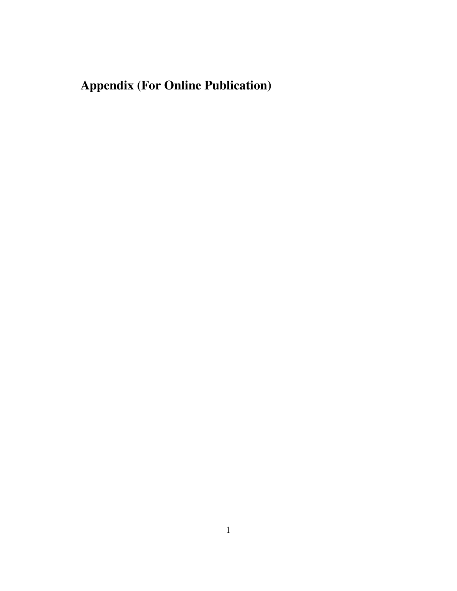# Appendix (For Online Publication)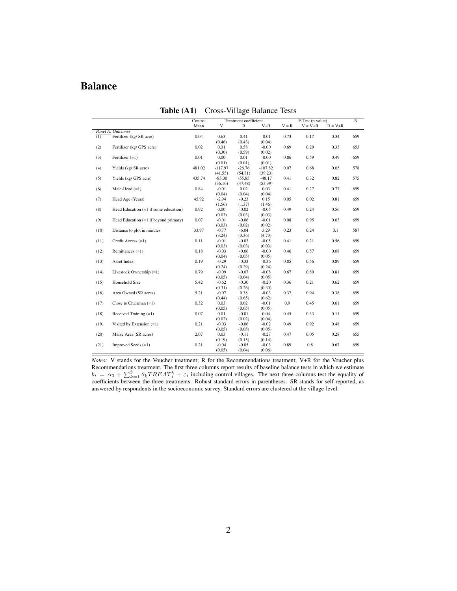### Balance

<span id="page-37-0"></span> $\overline{a}$  $\overline{a}$ 

|      |                                         | Control |           | Treatment coefficient |           |         | F-Test (p-value) |             | $\overline{N}$ |
|------|-----------------------------------------|---------|-----------|-----------------------|-----------|---------|------------------|-------------|----------------|
|      |                                         | Mean    | V         | $\mathbb{R}$          | $V + R$   | $V = R$ | $V = V + R$      | $R = V + R$ |                |
|      | Panel A: Outcomes                       |         |           |                       |           |         |                  |             |                |
| (1)  | Fertilizer (kg/ SR acre)                | 0.04    | 0.63      | 0.41                  | $-0.01$   | 0.73    | 0.17             | 0.34        | 659            |
|      |                                         |         | (0.46)    | (0.43)                | (0.04)    |         |                  |             |                |
| (2)  | Fertilizer (kg/ GPS acre)               | 0.02    | 0.31      | 0.58                  | $-0.00$   | 0.69    | 0.29             | 0.33        | 653            |
|      |                                         |         | (0.30)    | (0.59)                | (0.02)    |         |                  |             |                |
| (3)  | Fertilizer $(=1)$                       | 0.01    | 0.00      | 0.01                  | $-0.00$   | 0.86    | 0.59             | 0.49        | 659            |
|      |                                         |         | (0.01)    | (0.01)                | (0.01)    |         |                  |             |                |
| (4)  | Yields (kg/ SR acre)                    | 481.02  | $-117.97$ | $-26.76$              | $-107.82$ | 0.07    | 0.68             | 0.05        | 578            |
|      |                                         |         | (41.55)   | (54.81)               | (39.23)   |         |                  |             |                |
| (5)  | Yields (kg/ GPS acre)                   | 435.74  | $-85.30$  | $-55.85$              | $-48.17$  | 0.41    | 0.32             | 0.82        | 575            |
|      |                                         |         | (36.16)   | (47.48)               | (53.39)   |         |                  |             |                |
| (6)  | Male-Head $(=1)$                        | 0.84    | $-0.01$   | 0.02                  | 0.03      | 0.41    | 0.27             | 0.77        | 659            |
|      |                                         |         | (0.04)    | (0.04)                | (0.04)    |         |                  |             |                |
| (7)  | Head Age (Years)                        | 45.92   | $-2.94$   | $-0.23$               | 0.15      | 0.05    | 0.02             | 0.81        | 659            |
|      |                                         |         | (1.56)    | (1.37)                | (1.46)    |         |                  |             |                |
| (8)  | Head Education $(=1$ if some education) | 0.92    | 0.00      | $-0.02$               | $-0.05$   | 0.49    | 0.24             | 0.56        | 659            |
|      |                                         |         | (0.03)    | (0.03)                | (0.03)    |         |                  |             |                |
| (9)  | Head Education $(=1$ if beyond primary) | 0.07    | $-0.01$   | $-0.06$               | $-0.01$   | 0.08    | 0.95             | 0.03        | 659            |
|      |                                         |         | (0.03)    | (0.02)                | (0.02)    |         |                  |             |                |
| (10) | Distance to plot in minutes             | 33.97   | $-0.77$   | $-6.04$               | 3.29      | 0.23    | 0.24             | 0.1         | 587            |
|      |                                         |         | (3.24)    | (3.36)                | (4.73)    |         |                  |             |                |
| (11) | Credit Access (=1)                      | 0.11    | $-0.01$   | $-0.03$               | $-0.05$   | 0.41    | 0.21             | 0.56        | 659            |
|      |                                         |         | (0.03)    | (0.03)                | (0.03)    |         |                  |             |                |
| (12) | Remittances $(=1)$                      | 0.18    | $-0.03$   | $-0.06$               | $-0.00$   | 0.46    | 0.57             | 0.08        | 659            |
|      |                                         |         | (0.04)    | (0.05)                | (0.05)    |         |                  |             |                |
| (13) | Asset Index                             | 0.19    | $-0.29$   | $-0.33$               | $-0.36$   | 0.85    | 0.56             | 0.89        | 659            |
|      |                                         |         | (0.24)    | (0.29)                | (0.24)    |         |                  |             |                |
| (14) | Livestock Ownership (=1)                | 0.79    | $-0.09$   | $-0.07$               | $-0.08$   | 0.67    | 0.89             | 0.81        | 659            |
|      |                                         |         | (0.05)    | (0.04)                | (0.05)    |         |                  |             |                |
| (15) | Household Size                          | 5.42    | $-0.62$   | $-0.30$               | $-0.20$   | 0.36    | 0.21             | 0.62        | 659            |
|      |                                         |         | (0.31)    | (0.26)                | (0.30)    |         |                  |             |                |
| (16) | Area Owned (SR acres)                   | 5.21    | $-0.07$   | 0.38                  | $-0.03$   | 0.37    | 0.94             | 0.38        | 659            |
|      |                                         |         | (0.44)    | (0.65)                | (0.62)    |         |                  |             |                |
| (17) | Close to Chairman $(=1)$                | 0.32    | 0.03      | 0.02                  | $-0.01$   | 0.9     | 0.45             | 0.61        | 659            |
|      |                                         |         | (0.05)    | (0.05)                | (0.05)    |         |                  |             |                |
| (18) | Received Training $(=1)$                | 0.07    | 0.01      | $-0.01$               | 0.04      | 0.45    | 0.33             | 0.11        | 659            |
|      |                                         |         | (0.02)    | (0.02)                | (0.04)    |         |                  |             |                |
| (19) | Visited by Extension $(=1)$             | 0.21    | $-0.03$   | $-0.06$               | $-0.02$   | 0.49    | 0.92             | 0.48        | 659            |
|      |                                         |         | (0.05)    | (0.05)                | (0.05)    |         |                  |             |                |
| (20) | Maize Area (SR acres)                   | 2.07    | 0.03      | $-0.11$               | $-0.27$   | 0.47    | 0.05             | 0.28        | 655            |
|      |                                         |         | (0.19)    | (0.15)                | (0.14)    |         |                  |             |                |
| (21) | Improved Seeds (=1)                     | 0.21    | $-0.04$   | $-0.05$               | $-0.03$   | 0.89    | 0.8              | 0.67        | 659            |
|      |                                         |         | (0.05)    | (0.04)                | (0.06)    |         |                  |             |                |

Table (A1) Cross-Village Balance Tests

*Notes:* V stands for the Voucher treatment; R for the Recommendations treatment; V+R for the Voucher plus Recommendations treatment. The first three columns report results of baseline balance tests in which we estimate  $b_i = \alpha_0 + \sum_{k=1}^3 \theta_k T RELAT_i^k + \varepsilon_i$  including control villages. The next three columns test the equality of coefficients between the three treatments. Robust standard errors in parentheses. SR stands for self-reported, as answered by respondents in the socioeconomic survey. Standard errors are clustered at the village-level.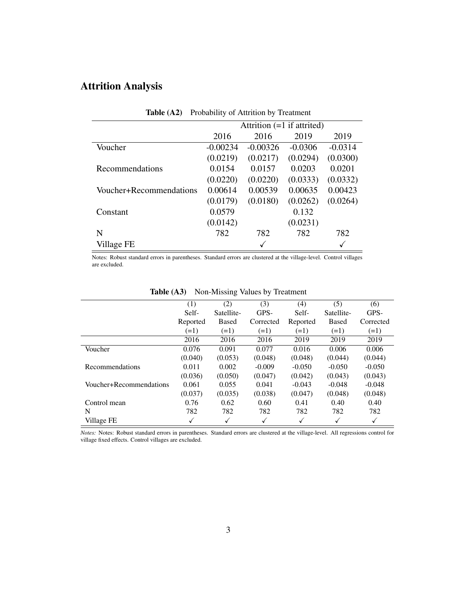### Attrition Analysis

<span id="page-38-0"></span>

| Table $(A2)$            | Probability of Attrition by Treatment |                              |           |           |
|-------------------------|---------------------------------------|------------------------------|-----------|-----------|
|                         |                                       | Attrition $(=1$ if attrited) |           |           |
|                         | 2016                                  | 2016                         | 2019      | 2019      |
| Voucher                 | $-0.00234$                            | $-0.00326$                   | $-0.0306$ | $-0.0314$ |
|                         | (0.0219)                              | (0.0217)                     | (0.0294)  | (0.0300)  |
| Recommendations         | 0.0154                                | 0.0157                       | 0.0203    | 0.0201    |
|                         | (0.0220)                              | (0.0220)                     | (0.0333)  | (0.0332)  |
| Voucher+Recommendations | 0.00614                               | 0.00539                      | 0.00635   | 0.00423   |
|                         | (0.0179)                              | (0.0180)                     | (0.0262)  | (0.0264)  |
| Constant                | 0.0579                                |                              | 0.132     |           |
|                         | (0.0142)                              |                              | (0.0231)  |           |
| N                       | 782                                   | 782                          | 782       | 782       |
| Village FE              |                                       |                              |           |           |

Notes: Robust standard errors in parentheses. Standard errors are clustered at the village-level. Control villages are excluded.

<span id="page-38-1"></span>

|                         | (1)      | (2)          | (3)       | (4)      | (5)          | (6)       |
|-------------------------|----------|--------------|-----------|----------|--------------|-----------|
|                         | Self-    | Satellite-   | GPS-      | Self-    | Satellite-   | GPS-      |
|                         | Reported | <b>Based</b> | Corrected | Reported | <b>Based</b> | Corrected |
|                         | $(=1)$   | $(=1)$       | $(=1)$    | $(=1)$   | $(=1)$       | $(=1)$    |
|                         | 2016     | 2016         | 2016      | 2019     | 2019         | 2019      |
| Voucher                 | 0.076    | 0.091        | 0.077     | 0.016    | 0.006        | 0.006     |
|                         | (0.040)  | (0.053)      | (0.048)   | (0.048)  | (0.044)      | (0.044)   |
| Recommendations         | 0.011    | 0.002        | $-0.009$  | $-0.050$ | $-0.050$     | $-0.050$  |
|                         | (0.036)  | (0.050)      | (0.047)   | (0.042)  | (0.043)      | (0.043)   |
| Voucher+Recommendations | 0.061    | 0.055        | 0.041     | $-0.043$ | $-0.048$     | $-0.048$  |
|                         | (0.037)  | (0.035)      | (0.038)   | (0.047)  | (0.048)      | (0.048)   |
| Control mean            | 0.76     | 0.62         | 0.60      | 0.41     | 0.40         | 0.40      |
| N                       | 782      | 782          | 782       | 782      | 782          | 782       |
| Village FE              | V        | √            | √         | √        |              | ✓         |

#### Table (A3) Non-Missing Values by Treatment

*Notes:* Notes: Robust standard errors in parentheses. Standard errors are clustered at the village-level. All regressions control for village fixed effects. Control villages are excluded.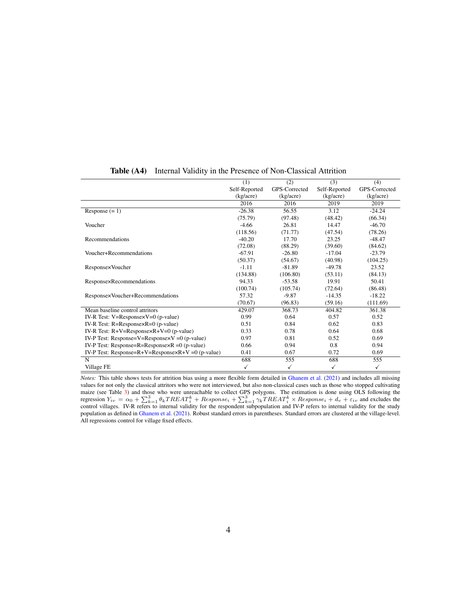<span id="page-39-0"></span>

|                                                         | (1)           | (2)           | (3)           | (4)           |
|---------------------------------------------------------|---------------|---------------|---------------|---------------|
|                                                         | Self-Reported | GPS-Corrected | Self-Reported | GPS-Corrected |
|                                                         | (kg/acre)     | (kg/acre)     | (kg/acre)     | (kg/acre)     |
|                                                         | 2016          | 2016          | 2019          | 2019          |
| Response $(= 1)$                                        | $-26.38$      | 56.55         | 3.12          | $-24.24$      |
|                                                         | (75.79)       | (97.48)       | (48.42)       | (66.34)       |
| Voucher                                                 | $-4.66$       | 26.81         | 14.47         | $-46.70$      |
|                                                         | (118.56)      | (71.77)       | (47.54)       | (78.26)       |
| Recommendations                                         | $-40.20$      | 17.70         | 23.25         | $-48.47$      |
|                                                         | (72.08)       | (88.29)       | (39.60)       | (84.62)       |
| Voucher+Recommendations                                 | $-67.91$      | $-26.80$      | $-17.04$      | $-23.79$      |
|                                                         | (50.37)       | (54.67)       | (40.98)       | (104.25)      |
| Response×Voucher                                        | $-1.11$       | $-81.89$      | $-49.78$      | 23.52         |
|                                                         | (134.88)      | (106.80)      | (53.11)       | (84.13)       |
| Response×Recommendations                                | 94.33         | $-53.58$      | 19.91         | 50.41         |
|                                                         | (100.74)      | (105.74)      | (72.64)       | (86.48)       |
| Response×Voucher+Recommendations                        | 57.32         | $-9.87$       | $-14.35$      | $-18.22$      |
|                                                         | (70.67)       | (96.83)       | (59.16)       | (111.69)      |
| Mean baseline control attritors                         | 429.07        | 368.73        | 404.82        | 361.38        |
| IV-R Test: $V=ResponsexV=0$ (p-value)                   | 0.99          | 0.64          | 0.57          | 0.52          |
| IV-R Test: $R =$ Response $\times$ R=0 (p-value)        | 0.51          | 0.84          | 0.62          | 0.83          |
| IV-R Test: $R+V=ResponsexR+V=0$ (p-value)               | 0.33          | 0.78          | 0.64          | 0.68          |
| IV-P Test: Response=V=Response $\times$ V =0 (p-value)  | 0.97          | 0.81          | 0.52          | 0.69          |
| IV-P Test: Response=R=Response $\times$ R =0 (p-value)  | 0.66          | 0.94          | 0.8           | 0.94          |
| IV-P Test: Response= $R+V=R$ esponse $xR+V=0$ (p-value) | 0.41          | 0.67          | 0.72          | 0.69          |
| N                                                       | 688           | 555           | 688           | 555           |
| Village FE                                              | $\checkmark$  | $\checkmark$  | ✓             | ✓             |

Table (A4) Internal Validity in the Presence of Non-Classical Attrition

*Notes:* This table shows tests for attrition bias using a more flexible form detailed in [Ghanem et al.](#page-21-4) [\(2021\)](#page-21-4) and includes all missing values for not only the classical attritors who were not interviewed, but also non-classical cases such as those who stopped cultivating maize (see Table [3\)](#page-30-1) and those who were unreachable to collect GPS polygons. The estimation is done using OLS following the regression  $Y_{iv} = \alpha_0 + \sum_{k=1}^{3} \theta_k TREAT_i^k + Response_i + \sum_{k=1}^{3} \gamma_k TREAT_i^k \times Response_i + d_v + \epsilon_{iv}$  and excludes the control villages. IV-R refers to internal validity for the respondent subpopulation and IV-P refers to internal validity population as defined in [Ghanem et al.](#page-21-4) [\(2021\)](#page-21-4). Robust standard errors in parentheses. Standard errors are clustered at the village-level. All regressions control for village fixed effects.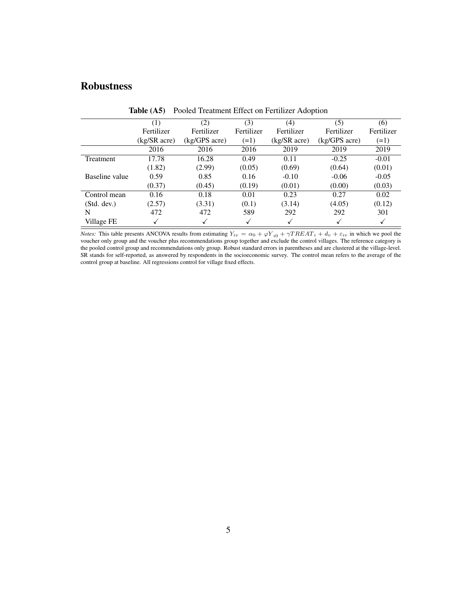### Robustness

<span id="page-40-0"></span>

|                | $\left( 1\right)$ | (2)           | (3)        | (4)                      | (5)           | (6)        |
|----------------|-------------------|---------------|------------|--------------------------|---------------|------------|
|                | Fertilizer        | Fertilizer    | Fertilizer | Fertilizer               | Fertilizer    | Fertilizer |
|                | (kg/SR acre)      | (kg/GPS acre) | $(=1)$     | $(kg/SR \, \text{acre})$ | (kg/GPS acre) | $(=1)$     |
|                | 2016              | 2016          | 2016       | 2019                     | 2019          | 2019       |
| Treatment      | 17.78             | 16.28         | 0.49       | 0.11                     | $-0.25$       | $-0.01$    |
|                | (1.82)            | (2.99)        | (0.05)     | (0.69)                   | (0.64)        | (0.01)     |
| Baseline value | 0.59              | 0.85          | 0.16       | $-0.10$                  | $-0.06$       | $-0.05$    |
|                | (0.37)            | (0.45)        | (0.19)     | (0.01)                   | (0.00)        | (0.03)     |
| Control mean   | 0.16              | 0.18          | 0.01       | 0.23                     | 0.27          | 0.02       |
| (Std. dev.)    | (2.57)            | (3.31)        | (0.1)      | (3.14)                   | (4.05)        | (0.12)     |
| N              | 472               | 472           | 589        | 292                      | 292           | 301        |
| Village FE     |                   |               |            |                          |               |            |

Table (A5) Pooled Treatment Effect on Fertilizer Adoption

*Notes:* This table presents ANCOVA results from estimating  $Y_{iv} = \alpha_0 + \varphi Y_{i0} + \gamma T R E A T_i + d_v + \varepsilon_{iv}$  in which we pool the voucher only group and the voucher plus recommendations group together and exclude the control villages. The reference category is the pooled control group and recommendations only group. Robust standard errors in parentheses and are clustered at the village-level. SR stands for self-reported, as answered by respondents in the socioeconomic survey. The control mean refers to the average of the control group at baseline. All regressions control for village fixed effects.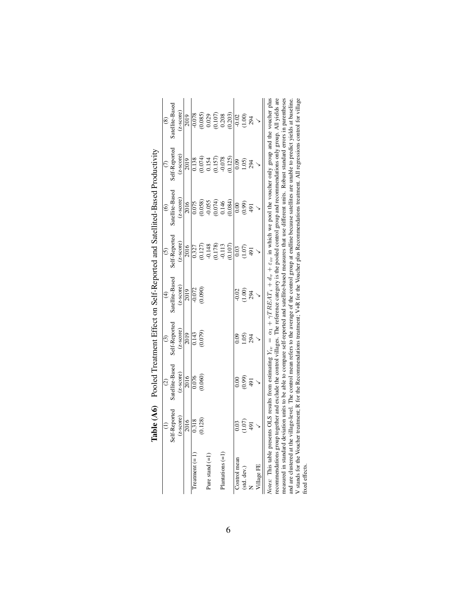<span id="page-41-0"></span>

|                   | )<br>2<br>2<br>2<br>2<br>2<br>2<br>2<br>2<br>2<br>2<br>1<br>2<br> |                                                                                                                                                                                                                                                                                                                                                                     |               |                         |                                                                     |                                       |                                                                                           |                                                                  |
|-------------------|-------------------------------------------------------------------|---------------------------------------------------------------------------------------------------------------------------------------------------------------------------------------------------------------------------------------------------------------------------------------------------------------------------------------------------------------------|---------------|-------------------------|---------------------------------------------------------------------|---------------------------------------|-------------------------------------------------------------------------------------------|------------------------------------------------------------------|
|                   |                                                                   | $\widehat{c}$                                                                                                                                                                                                                                                                                                                                                       | $\odot$       | $\widehat{\mathcal{F}}$ | $\odot$                                                             | $\circledcirc$                        | $\widehat{C}$                                                                             | $\circledast$                                                    |
|                   | Self-Reported                                                     | Satellite-Based                                                                                                                                                                                                                                                                                                                                                     | Self-Reported | Satellite-Based         | Self-Reported                                                       | satellite-Based                       | self-Reported                                                                             | Satellite-Based                                                  |
|                   | score)<br>$\overline{5}$                                          | $(z\text{-score})$                                                                                                                                                                                                                                                                                                                                                  | $(z-score)$   | $(z\text{-score})$      | $(z\text{-score})$                                                  | $(z\text{-score})$                    | $(z$ -score $)$                                                                           | $(z\text{-score})$                                               |
|                   | 2016                                                              | 2016                                                                                                                                                                                                                                                                                                                                                                | 2019          | $\overline{2019}$       | 2016                                                                | 2016                                  | 2019                                                                                      | 2019                                                             |
| Treatment $(=$    | $\frac{818}{2}$                                                   | $\frac{0.076}{2}$                                                                                                                                                                                                                                                                                                                                                   | 0.143         | $-0.072$                | $\frac{0.327}{0.327}$                                               | $\frac{6.075}{2}$                     | 0.138                                                                                     | $-0.078$                                                         |
|                   | .128)                                                             | (0.060)                                                                                                                                                                                                                                                                                                                                                             | (0.079)       | (0.090)                 |                                                                     |                                       |                                                                                           |                                                                  |
| Pure stand $(=1)$ |                                                                   |                                                                                                                                                                                                                                                                                                                                                                     |               |                         |                                                                     |                                       |                                                                                           |                                                                  |
|                   |                                                                   |                                                                                                                                                                                                                                                                                                                                                                     |               |                         | $\begin{array}{c} (0.127) \\ 0.148 \\ (0.178) \\ 0.113 \end{array}$ | $(0.058)$<br>0.055<br>0.074)<br>0.146 | $\begin{array}{c} (0.074) \\ 0.154 \\ 0.157) \\ 0.0157) \\ -0.078 \\ 0.0125) \end{array}$ | $\begin{array}{c} 0.085 \\ 0.029 \\ 0.107) \\ 0.208 \end{array}$ |
| $Planations (=1)$ |                                                                   |                                                                                                                                                                                                                                                                                                                                                                     |               |                         |                                                                     |                                       |                                                                                           |                                                                  |
|                   |                                                                   |                                                                                                                                                                                                                                                                                                                                                                     |               |                         | (0.107)                                                             | (0.084)                               |                                                                                           | (0.203)                                                          |
| Control mean      | 0.03                                                              | 0.00                                                                                                                                                                                                                                                                                                                                                                | 0.09          | $-0.02$                 | 0.03                                                                | 0.00                                  | 0.09                                                                                      | $-0.02$                                                          |
| (std. dev.)       | 1.07                                                              | (66.0)                                                                                                                                                                                                                                                                                                                                                              | (0.5)         | (1.00)                  | (1.07)                                                              | (0.99)                                | 1.05                                                                                      | $1.00$<br>294                                                    |
|                   | $\overline{16}$                                                   | 491                                                                                                                                                                                                                                                                                                                                                                 | 294           |                         | 491                                                                 | 491                                   | 294                                                                                       |                                                                  |
| Village FE        |                                                                   |                                                                                                                                                                                                                                                                                                                                                                     |               |                         |                                                                     |                                       |                                                                                           |                                                                  |
|                   |                                                                   | <i>Notes</i> : This table presents OLS results from estimating $Y_{tv} = \alpha_1 + \gamma T R E A T_i + d_v + \varepsilon_{iv}$ in which we pool the voucher only group and the voucher plus<br>recommendations group together and exclude the control villages. The reference category is the pooled control group and recommendations only group. All yields are |               |                         |                                                                     |                                       |                                                                                           |                                                                  |

Table (A6) Pooled Treatment Effect on Self-Reported and Satellited-Based Productivity Table (A6) Pooled Treatment Effect on Self-Reported and Satellited-Based Productivity

recommentations group regents and exclude in exclude the second and satellite-based measures that use different units. Robust standard errors in parentheses and are clustered at the village-level. The control mean refers t recommendations group together and exclude the control villages. The reference category is the pooled control group and recommendations only group. All yields are V stands for the Voucher treatment; R for the Recommendations treatment; V+R for the Voucher plus Recommendations treatment. All regressions control for village measured in standard deviation units to be able to compare self-reported and satellite-based measures that use different units. Robust standard errors in parentheses and are clustered at the village-level. The control mean refers to the average of the control group at endline because satellites are unable to predict yields at baseline. fixed effects. fixed effects.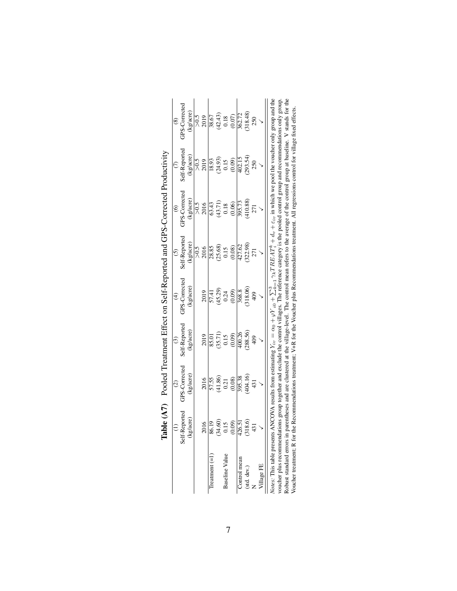|                             |               | $\odot$                                                                                                                                                                                                                                                                                                                                                                                                                                                                                                                         | $\overline{c}$                                         | $\widehat{\mathcal{F}}$    |                            | $\hat{\circ}$                                                   |                            | $\circledcirc$                                          |
|-----------------------------|---------------|---------------------------------------------------------------------------------------------------------------------------------------------------------------------------------------------------------------------------------------------------------------------------------------------------------------------------------------------------------------------------------------------------------------------------------------------------------------------------------------------------------------------------------|--------------------------------------------------------|----------------------------|----------------------------|-----------------------------------------------------------------|----------------------------|---------------------------------------------------------|
|                             | Self-Reported | <b>GPS-Corrected</b>                                                                                                                                                                                                                                                                                                                                                                                                                                                                                                            | Self-Reported                                          | GPS-Corrected              | Self-Reported              | <b>JPS-Corrected</b>                                            | Self-Reported              | <b>GPS-Corrected</b>                                    |
|                             | /acre)<br>ES  | (kg/acre)                                                                                                                                                                                                                                                                                                                                                                                                                                                                                                                       | (kg/acre)                                              | (kg/acre)                  | (kg/acre)                  | (kg/acre)                                                       | (kg/acre)                  | (kg/acre)                                               |
|                             |               |                                                                                                                                                                                                                                                                                                                                                                                                                                                                                                                                 |                                                        |                            | $> 0.5$                    | $z_{0<}$                                                        |                            |                                                         |
|                             | $\frac{6}{2}$ | 2016                                                                                                                                                                                                                                                                                                                                                                                                                                                                                                                            | 2019                                                   | 2019                       | 2016                       | 2016                                                            | $\frac{5}{2019}$           | $>0.5$<br>2019                                          |
| $T$ reatment $(=1)$         | 6.19          | 57.55                                                                                                                                                                                                                                                                                                                                                                                                                                                                                                                           | 85.01                                                  | 57.41                      | 28.85                      |                                                                 | 18.93                      | 38.67                                                   |
|                             | (34.60)       | $(41.86)$<br>0.21                                                                                                                                                                                                                                                                                                                                                                                                                                                                                                               |                                                        |                            |                            | $\begin{array}{c} 63.43 \\ (43.71) \\ 0.18 \\ 0.06 \end{array}$ |                            |                                                         |
| <b>Baseline Value</b>       | 21.15         |                                                                                                                                                                                                                                                                                                                                                                                                                                                                                                                                 | $\begin{array}{c} (35.71) \\ 0.15 \\ 0.09 \end{array}$ | $(45.29)$<br>0.24<br>0.09) | $(25.68)$<br>0.15<br>0.08) |                                                                 |                            |                                                         |
|                             | (0.09)        | (0.08)                                                                                                                                                                                                                                                                                                                                                                                                                                                                                                                          |                                                        |                            |                            |                                                                 | $(24.93)$<br>0.15<br>0.09) | $\begin{array}{c} (42.43) \\ 0.18 \\ 0.07) \end{array}$ |
| Control mean                | 426.51        | 395.38                                                                                                                                                                                                                                                                                                                                                                                                                                                                                                                          | 400.26                                                 | 368.8                      | 427.62                     | 395.73                                                          | 402.15                     |                                                         |
| (std. dev.)                 | 18.6          | (404.16)                                                                                                                                                                                                                                                                                                                                                                                                                                                                                                                        | (288.56)                                               | (318.06)                   | (322.98)                   | (410.88)                                                        | $(293.54)$<br>$250$        | 362.72<br>(318.48)                                      |
|                             |               | 431                                                                                                                                                                                                                                                                                                                                                                                                                                                                                                                             |                                                        |                            | 271                        | 271                                                             |                            | 250                                                     |
| <b>illage FE</b>            |               |                                                                                                                                                                                                                                                                                                                                                                                                                                                                                                                                 |                                                        |                            |                            |                                                                 |                            |                                                         |
| Robust standard errors in   |               | Notes: This table presents ANCOVA results from estimating $Y_{iv} = \alpha_0 + \varphi Y_{i0} + \sum_{k=1}^3 \gamma_k T R B A T_k^k + d_v + \epsilon_{iv}$ in which we pool the voucher only group and the<br>parentheses and are clustered at the village-level. The control mean refers to the average of the control group at baseline. V stands for the<br>voucher plus recommendations group together and exclude the control villages. The reference category is the pooled control group and recommendations only group. |                                                        |                            |                            |                                                                 |                            |                                                         |
| Voucher treatment; R for th |               | he Recommendations treatment; V+R for the Voucher plus Recommendations treatment. All regressions control for village fixed effects                                                                                                                                                                                                                                                                                                                                                                                             |                                                        |                            |                            |                                                                 |                            |                                                         |

<span id="page-42-0"></span>Table (A7) Pooled Treatment Effect on Self-Reported and GPS-Corrected Productivity Table (A7) Pooled Treatment Effect on Self-Reported and GPS-Corrected Productivity

7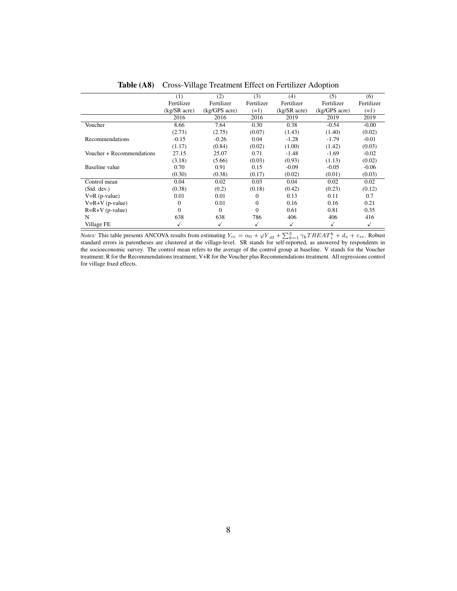<span id="page-43-0"></span>

|                           | (1)              | (2)           | (3)        | (4)              | (5)                | (6)          |
|---------------------------|------------------|---------------|------------|------------------|--------------------|--------------|
|                           | Fertilizer       | Fertilizer    | Fertilizer | Fertilizer       | Fertilizer         | Fertilizer   |
|                           | $(kg/SR$ acre)   | (kg/GPS acre) | $(=1)$     | $(kg/SR \naccr)$ | $(kg/GPS \, acre)$ | $(=1)$       |
|                           | 2016             | 2016          | 2016       | 2019             | 2019               | 2019         |
| Voucher                   | 8.66             | 7.64          | 0.30       | 0.38             | $-0.54$            | $-0.00$      |
|                           | (2.73)           | (2.75)        | (0.07)     | (1.43)           | (1.40)             | (0.02)       |
| Recommendations           | $-0.15$          | $-0.26$       | 0.04       | $-1.28$          | $-1.79$            | $-0.01$      |
|                           | (1.17)           | (0.84)        | (0.02)     | (1.00)           | (1.42)             | (0.03)       |
| Voucher + Recommendations | 27.15            | 25.07         | 0.71       | $-1.48$          | $-1.69$            | $-0.02$      |
|                           | (3.18)           | (5.66)        | (0.03)     | (0.93)           | (1.13)             | (0.02)       |
| Baseline value            | 0.70             | 0.91          | 0.15       | $-0.09$          | $-0.05$            | $-0.06$      |
|                           | (0.30)           | (0.38)        | (0.17)     | (0.02)           | (0.01)             | (0.03)       |
| Control mean              | 0.04             | 0.02          | 0.03       | 0.04             | 0.02               | 0.02         |
| (Std. dev.)               | (0.38)           | (0.2)         | (0.18)     | (0.42)           | (0.23)             | (0.12)       |
| $V=R$ (p-value)           | 0.01             | 0.01          | 0          | 0.13             | 0.11               | 0.7          |
| $V=R+V$ (p-value)         | 0                | 0.01          | $\Omega$   | 0.16             | 0.16               | 0.21         |
| $R=R+V$ (p-value)         | $\boldsymbol{0}$ | $\mathbf{0}$  | $\Omega$   | 0.61             | 0.81               | 0.35         |
| N                         | 638              | 638           | 786        | 406              | 406                | 416          |
| Village FE                |                  | ✓             | ✓          | ✓                | √                  | $\checkmark$ |

Table (A8) Cross-Village Treatment Effect on Fertilizer Adoption

*Notes:* This table presents ANCOVA results from estimating  $Y_{iv} = \alpha_0 + \varphi Y_{i0} + \sum_{k=1}^{3} \gamma_k TREAT_k^k + d_v + \varepsilon_{iv}$ . Robust standard errors in parentheses are clustered at the village-level. SR stands for self-reported, as an the socioeconomic survey. The control mean refers to the average of the control group at baseline. V stands for the Voucher treatment; R for the Recommendations treatment; V+R for the Voucher plus Recommendations treatment. All regressions control for village fixed effects.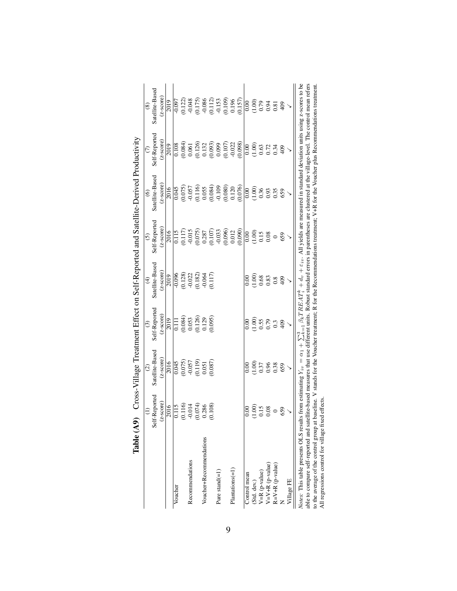|                                                                                                                                                                                                                                                                                                                                                                                                                                                                                                                                                                                           |                         | $\widehat{c}$                                                     | $\odot$                                                                    | $\widehat{f}$                                                                 | $\odot$                                                             | $\widehat{\mathbf{e}}$                                                                              |                                                                                          | $\circledast$                                                                                       |
|-------------------------------------------------------------------------------------------------------------------------------------------------------------------------------------------------------------------------------------------------------------------------------------------------------------------------------------------------------------------------------------------------------------------------------------------------------------------------------------------------------------------------------------------------------------------------------------------|-------------------------|-------------------------------------------------------------------|----------------------------------------------------------------------------|-------------------------------------------------------------------------------|---------------------------------------------------------------------|-----------------------------------------------------------------------------------------------------|------------------------------------------------------------------------------------------|-----------------------------------------------------------------------------------------------------|
|                                                                                                                                                                                                                                                                                                                                                                                                                                                                                                                                                                                           | Self-Reported           | Satellite-Based                                                   | Self-Reported                                                              | Satellite-Based                                                               | Self-Reported                                                       | Satellite-Based                                                                                     | Self-Reported                                                                            | Satellite-Based                                                                                     |
|                                                                                                                                                                                                                                                                                                                                                                                                                                                                                                                                                                                           | $(z$ -score $)$         | $(z\text{-score})$                                                | $(z$ -score $)$                                                            | $(z$ -score)                                                                  | $(z$ -score $)$                                                     | $(z$ -score $)$                                                                                     | $(z\text{-score})$                                                                       | $(z\text{-score})$                                                                                  |
|                                                                                                                                                                                                                                                                                                                                                                                                                                                                                                                                                                                           | 2016                    | 2016                                                              | 2019                                                                       | 2019                                                                          | 2016                                                                | 2016                                                                                                | 2019                                                                                     | 2019                                                                                                |
| Voucher                                                                                                                                                                                                                                                                                                                                                                                                                                                                                                                                                                                   | $\frac{5115}{2}$        |                                                                   |                                                                            | $-0.096$                                                                      |                                                                     | 0.045                                                                                               | 0.108                                                                                    | $-0.097$                                                                                            |
|                                                                                                                                                                                                                                                                                                                                                                                                                                                                                                                                                                                           | (0.116)                 |                                                                   | $\begin{array}{l} 0.111 \\ 0.084) \\ 0.053 \\ 0.126) \\ 0.129 \end{array}$ |                                                                               | $\begin{array}{c} 0.115 \\ 0.117) \\ -0.015 \end{array}$            |                                                                                                     | $\begin{array}{c} (0.084) \\ 0.061 \end{array}$                                          |                                                                                                     |
| Recommendations                                                                                                                                                                                                                                                                                                                                                                                                                                                                                                                                                                           | $-0.014$                |                                                                   |                                                                            |                                                                               |                                                                     | (0.075)                                                                                             |                                                                                          | (0.122)                                                                                             |
|                                                                                                                                                                                                                                                                                                                                                                                                                                                                                                                                                                                           | $\frac{(0.074)}{0.286}$ |                                                                   |                                                                            |                                                                               |                                                                     |                                                                                                     |                                                                                          |                                                                                                     |
| Voucher+Recommendations                                                                                                                                                                                                                                                                                                                                                                                                                                                                                                                                                                   |                         |                                                                   |                                                                            |                                                                               |                                                                     |                                                                                                     |                                                                                          |                                                                                                     |
|                                                                                                                                                                                                                                                                                                                                                                                                                                                                                                                                                                                           | (0.108)                 | $\frac{0.045}{0.075}$<br>$\frac{0.075}{0.057}$<br>0.051<br>0.087) | (0.095)                                                                    | $\begin{array}{c} (0.128) \\ -0.022 \\ 0.182) \\ 0.064 \\ 0.117) \end{array}$ | $\begin{array}{c} (0.075) \\ 0.287 \\ (0.107) \\ 0.033 \end{array}$ | $\begin{array}{l} (0.116) \\ 0.055 \\ (0.084) \\ -0.109 \\ (0.080) \\ 0.120 \\ (0.076) \end{array}$ | $\begin{array}{l} (0.126)\\0.132\\0.093)\\0.099\\0.197\\0.107)\\0.022\\0.023\end{array}$ |                                                                                                     |
| Pure stand $(=1)$                                                                                                                                                                                                                                                                                                                                                                                                                                                                                                                                                                         |                         |                                                                   |                                                                            |                                                                               |                                                                     |                                                                                                     |                                                                                          |                                                                                                     |
|                                                                                                                                                                                                                                                                                                                                                                                                                                                                                                                                                                                           |                         |                                                                   |                                                                            |                                                                               |                                                                     |                                                                                                     |                                                                                          |                                                                                                     |
| $Plantations (=1)$                                                                                                                                                                                                                                                                                                                                                                                                                                                                                                                                                                        |                         |                                                                   |                                                                            |                                                                               | $\begin{array}{c} (0.096) \\ 0.012 \\ (0.090) \end{array}$          |                                                                                                     |                                                                                          |                                                                                                     |
|                                                                                                                                                                                                                                                                                                                                                                                                                                                                                                                                                                                           |                         |                                                                   |                                                                            |                                                                               |                                                                     |                                                                                                     |                                                                                          | $\begin{array}{c} (0.175) \\ -0.086 \\ (0.112) \\ 0.153 \\ (0.109) \\ 0.196 \\ (0.157) \end{array}$ |
| Control mean                                                                                                                                                                                                                                                                                                                                                                                                                                                                                                                                                                              | 0.00                    |                                                                   |                                                                            | 0.00                                                                          | 0.00                                                                | 0.00                                                                                                | 0.00                                                                                     |                                                                                                     |
|                                                                                                                                                                                                                                                                                                                                                                                                                                                                                                                                                                                           |                         |                                                                   |                                                                            |                                                                               | (1.00)                                                              |                                                                                                     |                                                                                          |                                                                                                     |
|                                                                                                                                                                                                                                                                                                                                                                                                                                                                                                                                                                                           | $\frac{0.00}{0.15}$     |                                                                   |                                                                            |                                                                               |                                                                     |                                                                                                     |                                                                                          |                                                                                                     |
| (Std. dev.)<br>V=R (p-value)<br>V=V+R (p-value)                                                                                                                                                                                                                                                                                                                                                                                                                                                                                                                                           | 0.08                    |                                                                   |                                                                            |                                                                               | 0.08                                                                |                                                                                                     |                                                                                          |                                                                                                     |
| $R = V + R$ (p-value)                                                                                                                                                                                                                                                                                                                                                                                                                                                                                                                                                                     | $\circ$                 | $0.00$<br>0.037<br>0.038<br>0.38                                  |                                                                            | 6888                                                                          |                                                                     | $\begin{array}{c} 0.000 \\ 0.000 \\ 0.000 \end{array}$                                              | $0.63$<br>$0.73$<br>$0.34$                                                               |                                                                                                     |
|                                                                                                                                                                                                                                                                                                                                                                                                                                                                                                                                                                                           | 659                     |                                                                   |                                                                            | 409                                                                           | 659                                                                 | 659                                                                                                 | 409                                                                                      | 409                                                                                                 |
| Village FE                                                                                                                                                                                                                                                                                                                                                                                                                                                                                                                                                                                |                         |                                                                   |                                                                            |                                                                               |                                                                     |                                                                                                     |                                                                                          |                                                                                                     |
| able to compare self-reported and satellite-based measures that use different units. Robust standard errors in parentheses are clustered at the village-level. The control mean refers<br>Notes: This table presents OLS results from estimating $Y_{iv} = \alpha_1 + \sum_{k=1}^3 \beta_k TRBA_T^k + d_v + \varepsilon_{iv}$ . All yields are measured in standard deviation units using z-scores to be<br>to the average of the control group at baseline. V stands for the Voucher treatment; R for the Recommendations treatment; V+R for the Voucher plus Recommendations treatment. |                         |                                                                   |                                                                            |                                                                               |                                                                     |                                                                                                     |                                                                                          |                                                                                                     |
| All magnetic magnetic $f_{\rm out}$ . Then $f_{\rm out}$                                                                                                                                                                                                                                                                                                                                                                                                                                                                                                                                  |                         |                                                                   |                                                                            |                                                                               |                                                                     |                                                                                                     |                                                                                          |                                                                                                     |

<span id="page-44-0"></span>

| ĺ                                                                               |
|---------------------------------------------------------------------------------|
| $\frac{1}{2}$<br>)<br>}<br>}<br>l                                               |
| i<br>I<br>ı<br>ļ<br>$\frac{1}{2}$<br>֧֚֚֚֚֚֚֚֚֚֚֚֚֚֚֚֚֚֚֚֬֡֡֡֡֡֡֡֡֬֝֬<br>;<br>; |
| $\mathbf{I}$<br>Î                                                               |
| I<br>)                                                                          |
| ;<br>;<br>ζ                                                                     |
| $T_{\rm eff}$ $\sim 1.1$ $\sim 1.4$ $\Omega$                                    |

9

able to compare self-reported and satellite-based<br>to the average of the control group at baseline. V<br>All regressions control for village fixed effects. All regressions control for village fixed effects.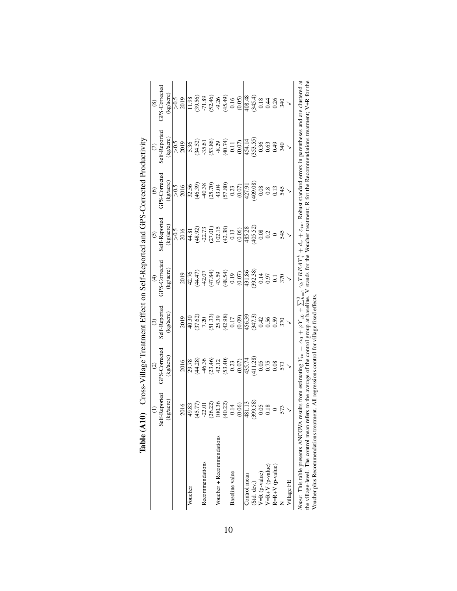|                                                                                                                                                                                                                                  |                                                 | $\widehat{\mathcal{O}}$                                                                                                                                                                                                                                                                                       | $\odot$                                                                                                                                                                                                                                                                                                       | ⊕                                                                                                                                                                                                                                                                        | $\odot$                                                                                                      | $\widehat{\circ}$                                                                     |                                                                                                                                                                                                                                                                                                                                                                                                                              | $\circledast$                                                                        |
|----------------------------------------------------------------------------------------------------------------------------------------------------------------------------------------------------------------------------------|-------------------------------------------------|---------------------------------------------------------------------------------------------------------------------------------------------------------------------------------------------------------------------------------------------------------------------------------------------------------------|---------------------------------------------------------------------------------------------------------------------------------------------------------------------------------------------------------------------------------------------------------------------------------------------------------------|--------------------------------------------------------------------------------------------------------------------------------------------------------------------------------------------------------------------------------------------------------------------------|--------------------------------------------------------------------------------------------------------------|---------------------------------------------------------------------------------------|------------------------------------------------------------------------------------------------------------------------------------------------------------------------------------------------------------------------------------------------------------------------------------------------------------------------------------------------------------------------------------------------------------------------------|--------------------------------------------------------------------------------------|
|                                                                                                                                                                                                                                  | Reported<br>Self-                               | <b>GPS-Corrected</b>                                                                                                                                                                                                                                                                                          | Self-Reported                                                                                                                                                                                                                                                                                                 | GPS-Corrected                                                                                                                                                                                                                                                            | Self-Reported                                                                                                | GPS-Corrected                                                                         | Self-Reported                                                                                                                                                                                                                                                                                                                                                                                                                | GPS-Corrected                                                                        |
|                                                                                                                                                                                                                                  | (kg/acre)                                       | (kg/acre)                                                                                                                                                                                                                                                                                                     | (kg/acre)                                                                                                                                                                                                                                                                                                     | (kg/acre)                                                                                                                                                                                                                                                                | (kg/acre)                                                                                                    | kg/acre                                                                               | (kg/acre)                                                                                                                                                                                                                                                                                                                                                                                                                    | kg/acre)                                                                             |
|                                                                                                                                                                                                                                  |                                                 |                                                                                                                                                                                                                                                                                                               |                                                                                                                                                                                                                                                                                                               |                                                                                                                                                                                                                                                                          |                                                                                                              |                                                                                       |                                                                                                                                                                                                                                                                                                                                                                                                                              |                                                                                      |
|                                                                                                                                                                                                                                  | 2016                                            | 2016                                                                                                                                                                                                                                                                                                          | 2019                                                                                                                                                                                                                                                                                                          | 2019                                                                                                                                                                                                                                                                     | $\frac{5}{2016}$                                                                                             | $>0.5$<br>2016                                                                        | $\frac{5}{2019}$                                                                                                                                                                                                                                                                                                                                                                                                             | $\frac{5}{2019}$                                                                     |
| Voucher                                                                                                                                                                                                                          | 49.83                                           |                                                                                                                                                                                                                                                                                                               |                                                                                                                                                                                                                                                                                                               |                                                                                                                                                                                                                                                                          |                                                                                                              |                                                                                       |                                                                                                                                                                                                                                                                                                                                                                                                                              |                                                                                      |
|                                                                                                                                                                                                                                  |                                                 |                                                                                                                                                                                                                                                                                                               |                                                                                                                                                                                                                                                                                                               |                                                                                                                                                                                                                                                                          |                                                                                                              |                                                                                       |                                                                                                                                                                                                                                                                                                                                                                                                                              |                                                                                      |
| Recommendations                                                                                                                                                                                                                  |                                                 |                                                                                                                                                                                                                                                                                                               |                                                                                                                                                                                                                                                                                                               |                                                                                                                                                                                                                                                                          |                                                                                                              |                                                                                       |                                                                                                                                                                                                                                                                                                                                                                                                                              |                                                                                      |
|                                                                                                                                                                                                                                  | 45.77)<br>-22.01<br>-26.22)<br>100.36<br>40.22) |                                                                                                                                                                                                                                                                                                               |                                                                                                                                                                                                                                                                                                               |                                                                                                                                                                                                                                                                          |                                                                                                              | 32.56<br>(46.39)<br>(40.38<br>(50.30)<br>(50.07)<br>(0.07)                            |                                                                                                                                                                                                                                                                                                                                                                                                                              |                                                                                      |
| Voucher + Recommendations                                                                                                                                                                                                        |                                                 |                                                                                                                                                                                                                                                                                                               |                                                                                                                                                                                                                                                                                                               |                                                                                                                                                                                                                                                                          |                                                                                                              |                                                                                       |                                                                                                                                                                                                                                                                                                                                                                                                                              |                                                                                      |
|                                                                                                                                                                                                                                  |                                                 |                                                                                                                                                                                                                                                                                                               |                                                                                                                                                                                                                                                                                                               |                                                                                                                                                                                                                                                                          |                                                                                                              |                                                                                       |                                                                                                                                                                                                                                                                                                                                                                                                                              |                                                                                      |
| Baseline value                                                                                                                                                                                                                   |                                                 |                                                                                                                                                                                                                                                                                                               |                                                                                                                                                                                                                                                                                                               |                                                                                                                                                                                                                                                                          |                                                                                                              |                                                                                       |                                                                                                                                                                                                                                                                                                                                                                                                                              |                                                                                      |
|                                                                                                                                                                                                                                  | (0.06)                                          | $\begin{array}{l} 2,78 \\ 2,80 \\ 3,60 \\ 4,40 \\ 5,60 \\ 6,70 \\ 7,80 \\ 8,90 \\ 1,12 \\ 1,23 \\ 1,30 \\ 1,40 \\ 1,20 \\ 1,30 \\ 1,30 \\ 1,40 \\ 1,30 \\ 1,30 \\ 1,30 \\ 1,30 \\ 1,30 \\ 1,30 \\ 1,30 \\ 1,30 \\ 1,30 \\ 1,30 \\ 1,30 \\ 1,30 \\ 1,30 \\ 1,30 \\ 1,30 \\ 1,30 \\ 1,30 \\ 1,30 \\ 1,30 \\ 1,$ | $\begin{array}{l} 99.30 \\ 40.30 \\ 7.20 \\ 7.30 \\ 7.30 \\ 8.30 \\ 9.30 \\ 9.40 \\ 9.50 \\ 9.50 \\ 9.50 \\ 9.50 \\ 9.50 \\ 9.50 \\ 9.50 \\ 9.50 \\ 9.50 \\ 9.50 \\ 9.50 \\ 9.50 \\ 9.50 \\ 9.50 \\ 9.50 \\ 9.50 \\ 9.50 \\ 9.50 \\ 9.50 \\ 9.50 \\ 9.50 \\ 9.50 \\ 9.50 \\ 9.50 \\ 9.50 \\ 9.50 \\ 9.50 \\ $ | $(4.76)$ $(4.76)$<br>$(4.47)$<br>$(4.47)$<br>$(4.47)$<br>$(4.47)$<br>$(4.47)$<br>$(4.47)$<br>$(4.47)$<br>$(4.47)$<br>$(4.47)$<br>$(4.47)$<br>$(4.47)$<br>$(4.47)$<br>$(4.47)$<br>$(4.47)$<br>$(4.47)$<br>$(4.47)$<br>$(4.47)$<br>$(4.47)$<br>$(4.47)$<br>$(4.47)$<br>$($ | $\begin{array}{l} 44.81 \\ (48.92) \\ (27.73) \\ (27.01) \\ 102.15 \\ (42.38) \\ 0.13 \\ (0.06) \end{array}$ |                                                                                       | $\begin{array}{l} \n\sqrt{36} \\ \sqrt{36} \\ \sqrt{36} \\ \sqrt{38} \\ \sqrt{38} \\ \sqrt{38} \\ \sqrt{38} \\ \sqrt{38} \\ \sqrt{38} \\ \sqrt{38} \\ \sqrt{38} \\ \sqrt{38} \\ \sqrt{38} \\ \sqrt{38} \\ \sqrt{38} \\ \sqrt{38} \\ \sqrt{38} \\ \sqrt{38} \\ \sqrt{38} \\ \sqrt{38} \\ \sqrt{38} \\ \sqrt{38} \\ \sqrt{38} \\ \sqrt{38} \\ \sqrt{38} \\ \sqrt{38} \\ \sqrt{38} \\ \sqrt{38} \\ \sqrt{38} \\ \sqrt{38} \\ \$ |                                                                                      |
| Control mean                                                                                                                                                                                                                     |                                                 |                                                                                                                                                                                                                                                                                                               |                                                                                                                                                                                                                                                                                                               |                                                                                                                                                                                                                                                                          |                                                                                                              |                                                                                       |                                                                                                                                                                                                                                                                                                                                                                                                                              |                                                                                      |
| (Std. dev.)                                                                                                                                                                                                                      | 481.13<br>(399.58)                              |                                                                                                                                                                                                                                                                                                               |                                                                                                                                                                                                                                                                                                               |                                                                                                                                                                                                                                                                          | $\frac{485.28}{405.52}$<br>(405.52)                                                                          | $\frac{427.91}{427.98}$<br>$\begin{array}{r} 0.08 \\ 0.08 \\ 0.13 \\ 545 \end{array}$ |                                                                                                                                                                                                                                                                                                                                                                                                                              |                                                                                      |
| $V=R$ (p-value)                                                                                                                                                                                                                  | $0.05\,$                                        |                                                                                                                                                                                                                                                                                                               |                                                                                                                                                                                                                                                                                                               |                                                                                                                                                                                                                                                                          |                                                                                                              |                                                                                       |                                                                                                                                                                                                                                                                                                                                                                                                                              |                                                                                      |
| $V=R+V$ (p-value)                                                                                                                                                                                                                |                                                 |                                                                                                                                                                                                                                                                                                               |                                                                                                                                                                                                                                                                                                               |                                                                                                                                                                                                                                                                          | 0.2                                                                                                          |                                                                                       |                                                                                                                                                                                                                                                                                                                                                                                                                              |                                                                                      |
| $R=R+V$ (p-value)                                                                                                                                                                                                                | $\frac{0.18}{0}$                                |                                                                                                                                                                                                                                                                                                               |                                                                                                                                                                                                                                                                                                               |                                                                                                                                                                                                                                                                          |                                                                                                              |                                                                                       |                                                                                                                                                                                                                                                                                                                                                                                                                              |                                                                                      |
|                                                                                                                                                                                                                                  |                                                 |                                                                                                                                                                                                                                                                                                               |                                                                                                                                                                                                                                                                                                               |                                                                                                                                                                                                                                                                          | 545                                                                                                          |                                                                                       |                                                                                                                                                                                                                                                                                                                                                                                                                              |                                                                                      |
| Village FE                                                                                                                                                                                                                       |                                                 |                                                                                                                                                                                                                                                                                                               |                                                                                                                                                                                                                                                                                                               |                                                                                                                                                                                                                                                                          |                                                                                                              |                                                                                       |                                                                                                                                                                                                                                                                                                                                                                                                                              |                                                                                      |
| the village-level. The control mean refers to the average of the control group at baseline.<br>Voucher plus Recommendations treatment. All regressions control for village fixed effects<br>Notes: This table presents ANCOVA re |                                                 | sults from estimating $Y_{tv} = \alpha_0 + \varphi Y_{i0} + \sum_{k=1}^{3} \gamma_k T R E A T_k^k + d_v + \varepsilon_{iv}$ . Robust standard errors in parentheses and are clustered at                                                                                                                      |                                                                                                                                                                                                                                                                                                               |                                                                                                                                                                                                                                                                          |                                                                                                              |                                                                                       |                                                                                                                                                                                                                                                                                                                                                                                                                              | V stands for the Voucher treatment; R for the Recommendations treatment; V+R for the |

<span id="page-45-0"></span>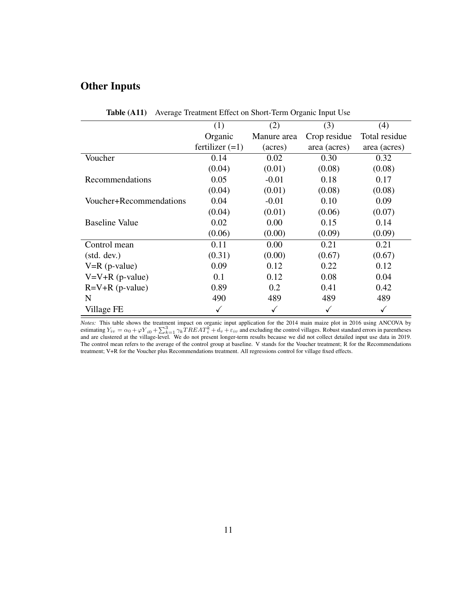### Other Inputs

<span id="page-46-0"></span>

|                         | (1)               | (2)         | (3)          | (4)           |
|-------------------------|-------------------|-------------|--------------|---------------|
|                         | Organic           | Manure area | Crop residue | Total residue |
|                         | fertilizer $(=1)$ | (acres)     | area (acres) | area (acres)  |
| Voucher                 | 0.14              | 0.02        | 0.30         | 0.32          |
|                         | (0.04)            | (0.01)      | (0.08)       | (0.08)        |
| Recommendations         | 0.05              | $-0.01$     | 0.18         | 0.17          |
|                         | (0.04)            | (0.01)      | (0.08)       | (0.08)        |
| Voucher+Recommendations | 0.04              | $-0.01$     | 0.10         | 0.09          |
|                         | (0.04)            | (0.01)      | (0.06)       | (0.07)        |
| <b>Baseline Value</b>   | 0.02              | 0.00        | 0.15         | 0.14          |
|                         | (0.06)            | (0.00)      | (0.09)       | (0.09)        |
| Control mean            | 0.11              | 0.00        | 0.21         | 0.21          |
| (stat. dev.)            | (0.31)            | (0.00)      | (0.67)       | (0.67)        |
| $V=R$ (p-value)         | 0.09              | 0.12        | 0.22         | 0.12          |
| $V=V+R$ (p-value)       | 0.1               | 0.12        | 0.08         | 0.04          |
| $R=V+R$ (p-value)       | 0.89              | 0.2         | 0.41         | 0.42          |
| N                       | 490               | 489         | 489          | 489           |
| Village FE              | ✓                 | ✓           | ✓            | ✓             |

Table (A11) Average Treatment Effect on Short-Term Organic Input Use

*Notes:* This table shows the treatment impact on organic input application for the 2014 main maize plot in 2016 using ANCOVA by estimating  $Y_{iv} = \alpha_0 + \varphi Y_{i0} + \sum_{k=1}^3 \gamma_k TREAT_k^k + d_v + \varepsilon_{iv}$  and excluding the control villages. Robust standard errors in parentheses and are clustered at the village-level. We do not present longer-term results because The control mean refers to the average of the control group at baseline. V stands for the Voucher treatment; R for the Recommendations treatment; V+R for the Voucher plus Recommendations treatment. All regressions control for village fixed effects.